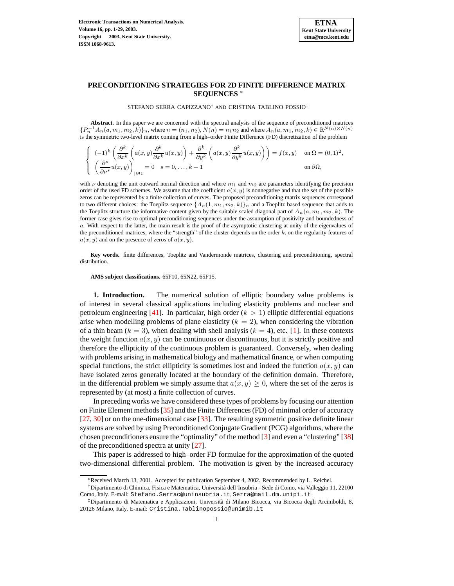

,

## **PRECONDITIONING STRATEGIES FOR 2D FINITE DIFFERENCE MATRIX SEQUENCES** <sup>∗</sup>

STEFANO SERRA CAPIZZANO† AND CRISTINA TABLINO POSSIO‡

**Abstract.** In this paper we are concerned with the spectral analysis of the sequence of preconditioned matrices  ${P_n^{-1}A_n(a, m_1, m_2, k)}_n$ , where  $n = (n_1, n_2), N(n) = n_1 n_2$  and where  $A_n(a, m_1, m_2, k) \in \mathbb{R}^{N(n) \times N(n)}$ is the symmetric two-level matrix coming from a high–order Finite Difference (FD) discretization of the problem

$$
\begin{cases}\n(-1)^k \left( \frac{\partial^k}{\partial x^k} \left( a(x, y) \frac{\partial^k}{\partial x^k} u(x, y) \right) + \frac{\partial^k}{\partial y^k} \left( a(x, y) \frac{\partial^k}{\partial y^k} u(x, y) \right) \right) = f(x, y) & \text{on } \Omega = (0, 1)^2 \\
\left( \frac{\partial^s}{\partial \nu^s} u(x, y) \right)_{|\partial \Omega} = 0 & s = 0, \dots, k - 1 & \text{on } \partial \Omega,\n\end{cases}
$$

with  $\nu$  denoting the unit outward normal direction and where  $m_1$  and  $m_2$  are parameters identifying the precision order of the used FD schemes. We assume that the coefficient  $a(x, y)$  is nonnegative and that the set of the possible zeros can be represented by a finite collection of curves. The proposed preconditioning matrix sequences correspond to two different choices: the Toeplitz sequence  $\{A_n(1, m_1, m_2, k)\}\$ <sub>n</sub> and a Toeplitz based sequence that adds to the Toeplitz structure the informative content given by the suitable scaled diagonal part of  $A_n(a, m_1, m_2, k)$ . The former case gives rise to optimal preconditioning sequences under the assumption of positivity and boundedness of a. With respect to the latter, the main result is the proof of the asymptotic clustering at unity of the eigenvalues of the preconditioned matrices, where the "strength" of the cluster depends on the order k, on the regularity features of  $a(x, y)$  and on the presence of zeros of  $a(x, y)$ .

**Key words.** finite differences, Toeplitz and Vandermonde matrices, clustering and preconditioning, spectral distribution.

**AMS subject classifications.** 65F10, 65N22, 65F15.

**1. Introduction.** The numerical solution of elliptic boundary value problems is of interest in several classical applications including elasticity problems and nuclear and petroleum engineering [\[41\]](#page-21-0). In particular, high order  $(k > 1)$  elliptic differential equations arise when modelling problems of plane elasticity  $(k = 2)$ , when considering the vibration of a thin beam ( $k = 3$ ), when dealing with shell analysis ( $k = 4$ ), etc. [\[1\]](#page-19-0). In these contexts the weight function  $a(x, y)$  can be continuous or discontinuous, but it is strictly positive and therefore the ellipticity of the continuous problem is guaranteed. Conversely, when dealing with problems arising in mathematical biology and mathematical finance, or when computing special functions, the strict ellipticity is sometimes lost and indeed the function  $a(x, y)$  can have isolated zeros generally located at the boundary of the definition domain. Therefore, in the differential problem we simply assume that  $a(x, y) \geq 0$ , where the set of the zeros is represented by (at most) a finite collection of curves.

In preceding works we have considered these types of problems by focusing our attention on Finite Element methods [\[35\]](#page-20-0) and the Finite Differences (FD) of minimal order of accuracy [\[27,](#page-20-1) [30\]](#page-20-2) or on the one-dimensional case [\[33\]](#page-20-3). The resulting symmetric positive definite linear systems are solved by using Preconditioned Conjugate Gradient (PCG) algorithms, where the chosen preconditioners ensure the "optimality" of the method [\[3\]](#page-19-1) and even a "clustering" [\[38\]](#page-21-1) of the preconditioned spectra at unity [\[27\]](#page-20-1).

This paper is addressed to high–order FD formulae for the approximation of the quoted two-dimensional differential problem. The motivation is given by the increased accuracy

<sup>∗</sup>Received March 13, 2001. Accepted for publication September 4, 2002. Recommended by L. Reichel.

<sup>†</sup>Dipartimento di Chimica, Fisica e Matematica, Universita` dell'Insubria - Sede di Como, via Valleggio 11, 22100 Como, Italy. E-mail: Stefano.Serrac@uninsubria.it, Serra@mail.dm.unipi.it

<sup>‡</sup>Dipartimento di Matematica e Applicazioni, Universita` di Milano Bicocca, via Bicocca degli Arcimboldi, 8, 20126 Milano, Italy. E-mail: Cristina.Tablinopossio@unimib.it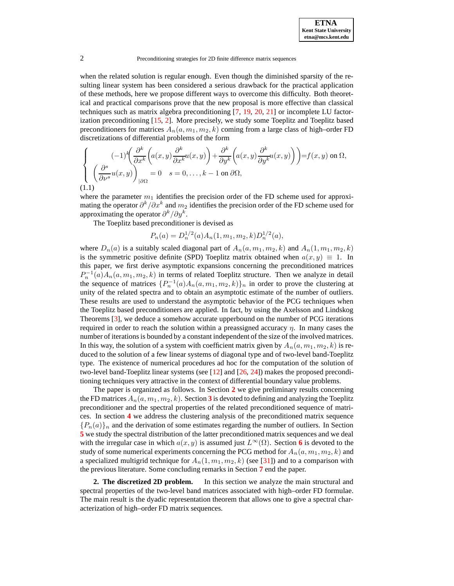when the related solution is regular enough. Even though the diminished sparsity of the resulting linear system has been considered a serious drawback for the practical application of these methods, here we propose different ways to overcome this difficulty. Both theoretical and practical comparisons prove that the new proposal is more effective than classical techniques such as matrix algebra preconditioning [\[7,](#page-20-4) [19,](#page-20-5) [20,](#page-20-6) [21\]](#page-20-7) or incomplete LU factorization preconditioning [\[15,](#page-20-8) [2\]](#page-19-2). More precisely, we study some Toeplitz and Toeplitz based preconditioners for matrices  $A_n(a, m_1, m_2, k)$  coming from a large class of high–order FD discretizations of differential problems of the form

<span id="page-1-1"></span>
$$
\begin{cases}\n(-1)^k \left( \frac{\partial^k}{\partial x^k} \left( a(x, y) \frac{\partial^k}{\partial x^k} u(x, y) \right) + \frac{\partial^k}{\partial y^k} \left( a(x, y) \frac{\partial^k}{\partial y^k} u(x, y) \right) \right) = f(x, y) \text{ on } \Omega, \\
\left( \frac{\partial^s}{\partial \nu^s} u(x, y) \right)_{|\partial \Omega} = 0 \quad s = 0, \dots, k - 1 \text{ on } \partial \Omega, \\
(1.1)\n\end{cases}
$$

where the parameter  $m_1$  identifies the precision order of the FD scheme used for approximating the operator  $\partial^k/\partial x^k$  and  $m_2$  identifies the precision order of the FD scheme used for approximating the operator  $\partial^k/\partial y^k$ .

The Toeplitz based preconditioner is devised as

$$
P_n(a) = D_n^{1/2}(a) A_n(1, m_1, m_2, k) D_n^{1/2}(a),
$$

where  $D_n(a)$  is a suitably scaled diagonal part of  $A_n(a, m_1, m_2, k)$  and  $A_n(1, m_1, m_2, k)$ is the symmetric positive definite (SPD) Toeplitz matrix obtained when  $a(x, y) \equiv 1$ . In this paper, we first derive asymptotic expansions concerning the preconditioned matrices  $P_n^{-1}(a)A_n(a, m_1, m_2, k)$  in terms of related Toeplitz structure. Then we analyze in detail the sequence of matrices  $\{P_n^{-1}(a)A_n(a, m_1, m_2, k)\}\$ <sub>n</sub> in order to prove the clustering at unity of the related spectra and to obtain an asymptotic estimate of the number of outliers. These results are used to understand the asymptotic behavior of the PCG techniques when the Toeplitz based preconditioners are applied. In fact, by using the Axelsson and Lindskog Theorems [\[3\]](#page-19-1), we deduce a somehow accurate upperbound on the number of PCG iterations required in order to reach the solution within a preassigned accuracy  $\eta$ . In many cases the number of iterationsis bounded by a constant independent of the size of the involved matrices. In this way, the solution of a system with coefficient matrix given by  $A_n(a, m_1, m_2, k)$  is reduced to the solution of a few linear systems of diagonal type and of two-level band-Toeplitz type. The existence of numerical procedures ad hoc for the computation of the solution of two-level band-Toeplitz linear systems (see [\[12\]](#page-20-9) and [\[26,](#page-20-10) [24\]](#page-20-11)) makes the proposed preconditioning techniques very attractive in the context of differential boundary value problems.

The paper is organized as follows. In Section **[2](#page-1-0)** we give preliminary results concerning the FD matrices  $A_n(a, m_1, m_2, k)$ . Section **[3](#page-5-0)** is devoted to defining and analyzing the Toeplitz preconditioner and the spectral properties of the related preconditioned sequence of matrices. In section **[4](#page-8-0)** we address the clustering analysis of the preconditioned matrix sequence  ${P_n(a)}_n$  and the derivation of some estimates regarding the number of outliers. In Section **[5](#page-15-0)** we study the spectral distribution of the latter preconditioned matrix sequences and we deal with the irregular case in which  $a(x, y)$  is assumed just  $L^{\infty}(\Omega)$ . Section **[6](#page-16-0)** is devoted to the study of some numerical experiments concerning the PCG method for  $A_n(a, m_1, m_2, k)$  and a specialized multigrid technique for  $A_n(1, m_1, m_2, k)$  (see [\[31\]](#page-20-12)) and to a comparison with the previous literature. Some concluding remarks in Section **[7](#page-19-3)** end the paper.

<span id="page-1-0"></span>**2. The discretized 2D problem.** In this section we analyze the main structural and spectral properties of the two-level band matrices associated with high–order FD formulae. The main result is the dyadic representation theorem that allows one to give a spectral characterization of high–order FD matrix sequences.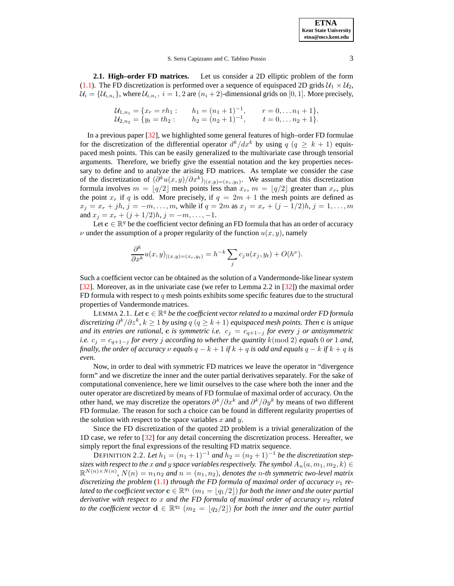**2.1. High–order FD matrices.** Let us consider a 2D elliptic problem of the form [\(1.1\)](#page-1-1). The FD discretization is performed over a sequence of equispaced 2D grids  $U_1 \times U_2$ ,  $\mathcal{U}_i = \{\mathcal{U}_{i,n_i}\}$ , where  $\mathcal{U}_{i,n_i}, i = 1,2$  are  $(n_i + 2)$ -dimensional grids on  $[0,1]$ . More precisely,

$$
U_{1,n_1} = \{x_r = rh_1: \t h_1 = (n_1+1)^{-1}, \t r = 0, \ldots n_1+1\},
$$
  
\n
$$
U_{2,n_2} = \{y_t = th_2: \t h_2 = (n_2+1)^{-1}, \t t = 0, \ldots n_2+1\}.
$$

In a previous paper [\[32\]](#page-20-13), we highlighted some general features of high–order FD formulae for the discretization of the differential operator  $d^{k}/dx^{k}$  by using  $q (q \geq k+1)$  equispaced mesh points. This can be easily generalized to the multivariate case through tensorial arguments. Therefore, we briefly give the essential notation and the key properties necessary to define and to analyze the arising FD matrices. As template we consider the case of the discretization of  $(\partial^k u(x,y)/\partial x^k)_{|(x,y)=(x_r,y_t)}$ . We assume that this discretization formula involves  $m = \lfloor q/2 \rfloor$  mesh points less than  $x_r$ ,  $m = \lfloor q/2 \rfloor$  greater than  $x_r$ , plus the point  $x_r$  if q is odd. More precisely, if  $q = 2m + 1$  the mesh points are defined as  $x_j = x_r + jh, j = -m, \ldots, m$ , while if  $q = 2m$  as  $x_j = x_r + (j - 1/2)h, j = 1, \ldots, m$ and  $x_j = x_r + (j + 1/2)h$ ,  $j = -m, \ldots, -1$ .

Let  $c \in \mathbb{R}^q$  be the coefficient vector defining an FD formula that has an order of accuracy  $\nu$  under the assumption of a proper regularity of the function  $u(x, y)$ , namely

<span id="page-2-0"></span>
$$
\frac{\partial^k}{\partial x^k}u(x,y)_{|(x,y)=(x_r,y_t)}=h^{-k}\sum_j c_j u(x_j,y_t)+O(h^{\nu}).
$$

Such a coefficient vector can be obtained as the solution of a Vandermonde-like linear system [\[32\]](#page-20-13). Moreover, as in the univariate case (we refer to Lemma 2.2 in [\[32\]](#page-20-13)) the maximal order FD formula with respect to  $q$  mesh points exhibits some specific features due to the structural properties of Vandermonde matrices.

 $\textrm{LEMMA 2.1.}$  *Let*  $\mathbf{c} \in \mathbb{R}^q$  *be the coefficient vector related to a maximal order FD formula discretizing* ∂ k /∂z k *,* k ≥ 1 *by using* q (q ≥ k + 1) *equispaced mesh points. Then* c *is unique and its entries are rational*, **c** *is symmetric i.e.*  $c_j = c_{q+1-j}$  *for every j or antisymmetric i.e.*  $c_j = c_{q+1-j}$  *for every j according to whether the quantity*  $k \text{ (mod 2)}$  *equals* 0 *or* 1 *and, finally, the order of accuracy*  $\nu$  *equals*  $q - k + 1$  *if*  $k + q$  *is odd and equals*  $q - k$  *if*  $k + q$  *is even.*

Now, in order to deal with symmetric FD matrices we leave the operator in "divergence form" and we discretize the inner and the outer partial derivatives separately. For the sake of computational convenience, here we limit ourselves to the case where both the inner and the outer operator are discretized by means of FD formulae of maximal order of accuracy. On the other hand, we may discretize the operators  $\partial^k/\partial x^k$  and  $\partial^k/\partial y^k$  by means of two different FD formulae. The reason for such a choice can be found in different regularity properties of the solution with respect to the space variables  $x$  and  $y$ .

<span id="page-2-1"></span>Since the FD discretization of the quoted 2D problem is a trivial generalization of the 1D case, we refer to [\[32\]](#page-20-13) for any detail concerning the discretization process. Hereafter, we simply report the final expressions of the resulting FD matrix sequence.

DEFINITION 2.2. Let  $h_1 = (n_1 + 1)^{-1}$  and  $h_2 = (n_2 + 1)^{-1}$  be the discretization step*sizes* with *respect to the* x *and* y *space variables respectively. The symbol*  $A_n(a, m_1, m_2, k) \in$  $\mathbb{R}^{N(n)\times N(n)}$ ,  $N(n) = n_1 n_2$  and  $n = (n_1, n_2)$ , denotes the n-th symmetric two-level matrix *discretizing the problem* [\(1.1\)](#page-1-1) *through the FD formula of maximal order of accuracy*  $\nu_1$  *re-* $\mathcal{L}$  *lated to the coefficient vector*  $\mathbf{c} \in \mathbb{R}^{q_1}$   $(m_1 = \lfloor {q_1/2} \rfloor)$  *for both the inner and the outer partial derivative with respect to* x *and the FD formula of maximal order of accuracy* ν<sup>2</sup> *related to* the coefficient vector  $\mathbf{d} \in \mathbb{R}^{q_2}$   $(m_2 = \lfloor q_2/2 \rfloor)$  for both the inner and the outer partial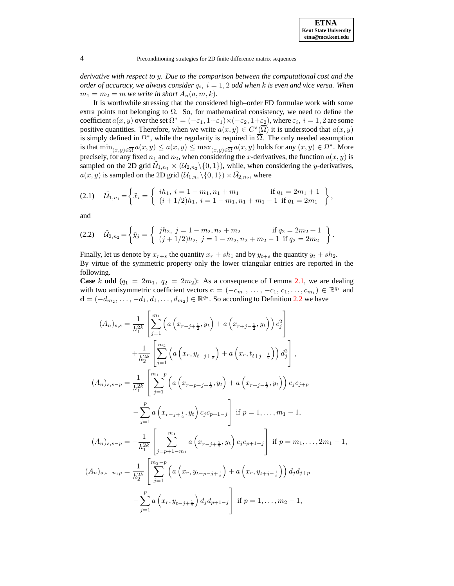*derivative with respect to* y*. Due to the comparison between the computational cost and the order of accuracy, we always consider*  $q_i$ ,  $i = 1, 2$  *odd when k is even and vice versa. When*  $m_1 = m_2 = m$  *we write in short*  $A_n(a, m, k)$ *.* 

It is worthwhile stressing that the considered high–order FD formulae work with some extra points not belonging to  $\Omega$ . So, for mathematical consistency, we need to define the coefficient  $a(x, y)$  over the set  $\Omega^* = (-\varepsilon_1, 1+\varepsilon_1) \times (-\varepsilon_2, 1+\varepsilon_2)$ , where  $\varepsilon_i$ ,  $i = 1, 2$  are some positive quantities. Therefore, when we write  $a(x, y) \in C^{s}(\overline{\Omega})$  it is understood that  $a(x, y)$ is simply defined in  $\Omega^*$ , while the regularity is required in  $\overline{\Omega}$ . The only needed assumption is that  $\min_{(x,y)\in\overline{\Omega}}a(x,y)\leq a(x,y)\leq\max_{(x,y)\in\overline{\Omega}}a(x,y)$  holds for any  $(x,y)\in\Omega^*$ . More precisely, for any fixed  $n_1$  and  $n_2$ , when considering the x-derivatives, the function  $a(x, y)$  is sampled on the 2D grid  $\mathcal{U}_{1,n_1} \times (\mathcal{U}_{2,n_2} \setminus \{0,1\})$ , while, when considering the *y*-derivatives,  $a(x, y)$  is sampled on the 2D grid  $(\mathcal{U}_{1,n_1} \setminus \{0, 1\}) \times \tilde{\mathcal{U}}_{2,n_2}$ , where

<span id="page-3-0"></span>
$$
(2.1) \quad \tilde{\mathcal{U}}_{1,n_1} = \left\{ \tilde{x}_i = \begin{cases} i h_1, \ i = 1 - m_1, n_1 + m_1 & \text{if } q_1 = 2m_1 + 1 \\ (i + 1/2)h_1, \ i = 1 - m_1, n_1 + m_1 - 1 & \text{if } q_1 = 2m_1 \end{cases} \right\},
$$

<span id="page-3-1"></span>and

$$
(2.2) \quad \tilde{\mathcal{U}}_{2,n_2} = \left\{ \tilde{y}_j = \begin{cases} jh_2, \ j = 1 - m_2, n_2 + m_2 & \text{if } q_2 = 2m_2 + 1 \\ (j + 1/2)h_2, \ j = 1 - m_2, n_2 + m_2 - 1 & \text{if } q_2 = 2m_2 \end{cases} \right\}.
$$

Finally, let us denote by  $x_{r+s}$  the quantity  $x_r + sh_1$  and by  $y_{t+s}$  the quantity  $y_t + sh_2$ . By virtue of the symmetric property only the lower triangular entries are reported in the following.

**Case** k **odd**  $(q_1 = 2m_1, q_2 = 2m_2)$ : As a consequence of Lemma [2.1,](#page-2-0) we are dealing with two antisymmetric coefficient vectors  $\mathbf{c} = (-c_{m_1}, \dots, -c_1, c_1, \dots, c_{m_1}) \in \mathbb{R}^{q_1}$  and  $\mathbf{d} = (-d_{m_2}, \ldots, -d_1, d_1, \ldots, d_{m_2}) \in \mathbb{R}^{q_2}$ . So according to Definition [2.2](#page-2-1) we have

$$
(A_n)_{s,s} = \frac{1}{h_1^{2k}} \left[ \sum_{j=1}^{m_1} \left( a \left( x_{r-j+\frac{1}{2}}, y_t \right) + a \left( x_{r+j-\frac{1}{2}}, y_t \right) \right) c_j^2 \right] + \frac{1}{h_2^{2k}} \left[ \sum_{j=1}^{m_2} \left( a \left( x_r, y_{t-j+\frac{1}{2}} \right) + a \left( x_r, t_{t+j-\frac{1}{2}} \right) \right) d_j^2 \right],
$$
  

$$
(A_n)_{s,s-p} = \frac{1}{h_1^{2k}} \left[ \sum_{j=1}^{m_1-p} \left( a \left( x_{r-p-j+\frac{1}{2}}, y_t \right) + a \left( x_{r+j-\frac{1}{2}}, y_t \right) \right) c_j c_{j+p} \right. - \sum_{j=1}^{p} a \left( x_{r-j+\frac{1}{2}}, y_t \right) c_j c_{p+1-j} \right] \text{ if } p = 1, \dots, m_1 - 1,
$$
  

$$
(A_n)_{s,s-p} = -\frac{1}{h_1^{2k}} \left[ \sum_{j=p+1-m_1}^{m_1} a \left( x_{r-j+\frac{1}{2}}, y_t \right) c_j c_{p+1-j} \right] \text{ if } p = m_1, \dots, 2m_1 - 1,
$$
  

$$
(A_n)_{s,s-n_1p} = \frac{1}{h_2^{2k}} \left[ \sum_{j=1}^{m_2-p} \left( a \left( x_r, y_{t-p-j+\frac{1}{2}} \right) + a \left( x_r, y_{t+j-\frac{1}{2}} \right) \right) d_j d_{j+p} \right.
$$
  

$$
- \sum_{j=1}^{p} a \left( x_r, y_{t-j+\frac{1}{2}} \right) d_j d_{p+1-j} \right] \text{ if } p = 1, \dots, m_2 - 1,
$$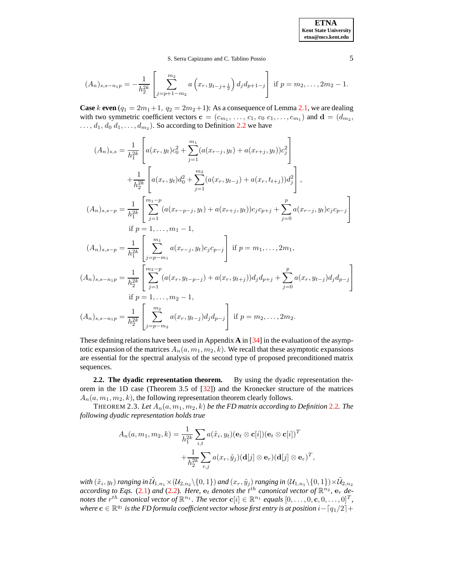**ETNA Kent State University etna@mcs.kent.edu**

<span id="page-4-0"></span>,

S. Serra Capizzano and C. Tablino Possio 5

$$
(A_n)_{s,s-n_1p} = -\frac{1}{h_2^{2k}} \left[ \sum_{j=p+1-m_2}^{m_2} a\left(x_r, y_{t-j+\frac{1}{2}}\right) d_j d_{p+1-j} \right] \text{ if } p=m_2,\ldots, 2m_2-1.
$$

**Case** k **even**  $(q_1 = 2m_1+1, q_2 = 2m_2+1)$ : As a consequence of Lemma [2.1,](#page-2-0) we are dealing with two symmetric coefficient vectors  $\mathbf{c} = (c_{m_1}, \ldots, c_1, c_0 \ c_1, \ldots, c_{m_1})$  and  $\mathbf{d} = (d_{m_2},$  $\dots, d_1, d_0, d_1, \dots, d_{m_2}$ ). So according to Definition [2.2](#page-2-1) we have

$$
(A_n)_{s,s} = \frac{1}{h_1^{2k}} \left[ a(x_r, y_t) c_0^2 + \sum_{j=1}^{m_1} (a(x_{r-j}, y_t) + a(x_{r+j}, y_t)) c_j^2 \right]
$$
  
+ 
$$
\frac{1}{h_2^{2k}} \left[ a(x_r, y_t) d_0^2 + \sum_{j=1}^{m_2} (a(x_r, y_{t-j}) + a(x_r, t_{t+j})) d_j^2 \right],
$$
  

$$
(A_n)_{s,s-p} = \frac{1}{h_1^{2k}} \left[ \sum_{j=1}^{m_1-p} (a(x_{r-p-j}, y_t) + a(x_{r+j}, y_t)) c_j c_{p+j} + \sum_{j=0}^{p} a(x_{r-j}, y_t) c_j c_{p-j} \right]
$$
  
if  $p = 1, ..., m_1 - 1$ ,  

$$
(A_n)_{s,s-p} = \frac{1}{h_1^{2k}} \left[ \sum_{j=p-m_1}^{m_1} a(x_{r-j}, y_t) c_j c_{p-j} \right]
$$
if  $p = m_1, ..., 2m_1$ ,  

$$
(A_n)_{s,s-n_1p} = \frac{1}{h_2^{2k}} \left[ \sum_{j=1}^{m_2-p} (a(x_r, y_{t-p-j}) + a(x_r, y_{t+j})) d_j d_{p+j} + \sum_{j=0}^{p} a(x_r, y_{t-j}) d_j d_{p-j} \right]
$$
  
if  $p = 1, ..., m_2 - 1$ ,  

$$
(A_n)_{s,s-n_1p} = \frac{1}{h_2^{2k}} \left[ \sum_{j=p-m_2}^{m_2} a(x_r, y_{t-j}) d_j d_{p-j} \right]
$$
if  $p = m_2, ..., 2m_2$ .

These defining relations have been used in Appendix **A** in [\[34\]](#page-20-14) in the evaluation of the asymptotic expansion of the matrices  $A_n(a, m_1, m_2, k)$ . We recall that these asymptotic expansions are essential for the spectral analysis of the second type of proposed preconditioned matrix sequences.

**2.2. The dyadic representation theorem.** By using the dyadic representation theorem in the 1D case (Theorem 3.5 of [\[32\]](#page-20-13)) and the Kronecker structure of the matrices  $A_n(a, m_1, m_2, k)$ , the following representation theorem clearly follows.

THEOREM 2.3. Let  $A_n(a, m_1, m_2, k)$  *be the FD matrix according to Definition [2.2](#page-2-1). The following dyadic representation holds true*

$$
A_n(a, m_1, m_2, k) = \frac{1}{h_1^{2k}} \sum_{i,t} a(\tilde{x}_i, y_t) (\mathbf{e}_t \otimes \mathbf{c}[i]) (\mathbf{e}_t \otimes \mathbf{c}[i])^T
$$

$$
+ \frac{1}{h_2^{2k}} \sum_{r,j} a(x_r, \tilde{y}_j) (\mathbf{d}[j] \otimes \mathbf{e}_r) (\mathbf{d}[j] \otimes \mathbf{e}_r)^T
$$

with  $(\tilde{x}_i,y_t)$  ranging in  $\tilde{\mathcal{U}}_{1,n_1}\times \mathcal{(U}_{2,n_2}\backslash\{0,1\})$  and  $(x_r,\tilde{y}_j)$  ranging in  $(\mathcal{U}_{1,n_1}\backslash\{0,1\})\times \tilde{\mathcal{U}}_{2,n_2}$ *according to Eqs.* [\(2.1\)](#page-3-0) *and* [\(2.2\)](#page-3-1)*. Here,*  $e_t$  *denotes the*  $t^{th}$  *canonical vector* of  $\mathbb{R}^{n_2}$ *,*  $e_r$  *denotes* the  $r^{th}$  *canonical vector of*  $\mathbb{R}^{n_1}$ . The vector  $\mathbf{c}[i] \in \mathbb{R}^{n_1}$  *equals*  $[0,\ldots,0,\mathbf{c},0,\ldots,0]^T$ ,  $\mathbf{v}$  *where*  $\mathbf{c} \in \mathbb{R}^{q_1}$  *is the FD formula coefficient vector whose first entry is at position i* –  $\lceil q_1/2 \rceil$  +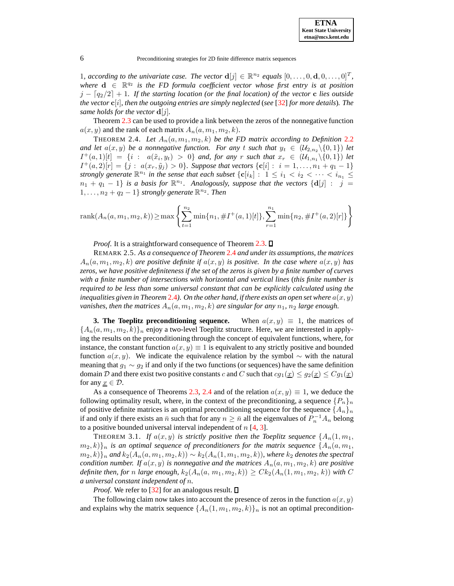1, according to the univariate case. The vector  $\mathbf{d}[j] \in \mathbb{R}^{n_2}$  equals  $[0, \ldots, 0, \mathbf{d}, 0, \ldots, 0]^T$ ,  $where \ d \in \mathbb{R}^{q_2}$  *is the FD formula coefficient vector whose first entry is at position*  $j - \left\lceil \frac{q_2}{2} \right\rceil + 1$ . If the starting location (or the final location) of the vector c lies outside *the* vector  $\mathbf{c}[i]$ , then the outgoing entries are simply neglected (see [\[32\]](#page-20-13) for more details). The *same holds for the vector*  $\mathbf{d}[j]$ *.* 

<span id="page-5-1"></span>Theorem [2.3](#page-4-0) can be used to provide a link between the zeros of the nonnegative function  $a(x, y)$  and the rank of each matrix  $A_n(a, m_1, m_2, k)$ .

THEOREM 2.4. Let  $A_n(a, m_1, m_2, k)$  be the FD matrix according to Definition [2.2](#page-2-1). *and let*  $a(x, y)$  *be a nonnegative function. For any t such that*  $y_t \in (U_{2,n} \setminus \{0,1\})$  *let*  $I^+(a,1)[t] = \{i : a(\tilde{x}_i, y_t) > 0\}$  and, for any r such that  $x_r \in (\mathcal{U}_{1,n_1} \setminus \{0,1\})$  let  $I^+(a, 2)[r] = \{j : a(x_r, \tilde{y}_j) > 0\}$ . Suppose that vectors  $\{c[i] : i = 1, ..., n_1 + q_1 - 1\}$ *strongly* generate  $\mathbb{R}^{n_1}$  in the sense that each subset  $\{c[i_k]: 1 \leq i_1 < i_2 < \cdots < i_{n_1} \leq \cdots \leq i_n\}$  $n_1 + q_1 - 1$  *is a basis for*  $\mathbb{R}^{n_1}$ . Analogously, suppose that the vectors  $\{d[j]: j = j\}$  $1, \ldots, n_2 + q_2 - 1$  *strongly generate*  $\mathbb{R}^{n_2}$ *. Then* 

rank
$$
(A_n(a, m_1, m_2, k))
$$
  $\ge$  max  $\left\{\sum_{t=1}^{n_2} \min\{n_1, \#I^+(a, 1)[t]\}, \sum_{r=1}^{n_1} \min\{n_2, \#I^+(a, 2)[r]\}\right\}$ 

<span id="page-5-2"></span>*Proof.* It is a straightforward consequence of Theorem [2.3.](#page-4-0)  $\square$ 

REMARK 2.5. *As a consequence of Theorem* [2.4](#page-5-1) *and under its assumptions, the matrices*  $A_n(a, m_1, m_2, k)$  *are positive definite if*  $a(x, y)$  *is positive. In the case where*  $a(x, y)$  *has* zeros, we have positive definiteness if the set of the zeros is given by a finite number of curves *with a finite number of intersections with horizontal and vertical lines* (*this finite number is required to be less than some universal constant that can be explicitly calculated using the inequalities* given in Theorem [2.4](#page-5-1)). On the other hand, if there exists an open set where  $a(x, y)$ *vanishes, then the matrices*  $A_n(a, m_1, m_2, k)$  *are singular for any*  $n_1$ ,  $n_2$  *large enough.* 

<span id="page-5-0"></span>**3. The Toeplitz preconditioning sequence.** When  $a(x, y) \equiv 1$ , the matrices of  ${A_n(a, m_1, m_2, k)}_n$  enjoy a two-level Toeplitz structure. Here, we are interested in applying the results on the preconditioning through the concept of equivalent functions, where, for instance, the constant function  $a(x, y) \equiv 1$  is equivalent to any strictly positive and bounded function  $a(x, y)$ . We indicate the equivalence relation by the symbol ∼ with the natural meaning that  $g_1 \sim g_2$  if and only if the two functions (or sequences) have the same definition domain D and there exist two positive constants c and C such that  $cg_1(\underline{x}) \leq g_2(\underline{x}) \leq Cg_1(\underline{x})$ for any  $\underline{x} \in \mathcal{D}$ .

As a consequence of Theorems [2.3,](#page-4-0) [2.4](#page-5-1) and of the relation  $a(x, y) \equiv 1$ , we deduce the following optimality result, where, in the context of the preconditioning, a sequence  $\{P_n\}_n$ of positive definite matrices is an optimal preconditioning sequence for the sequence  $\{A_n\}_n$ if and only if there exists an  $\bar{n}$  such that for any  $n \geq \bar{n}$  all the eigenvalues of  $P_n^{-1}A_n$  belong to a positive bounded universal interval independent of  $n \neq 3$ .

THEOREM 3.1. If  $a(x, y)$  is strictly positive then the Toeplitz sequence  $\{A_n(1, m_1,$  ${m_2, k}$ } $n$  *is an optimal sequence of preconditioners for the matrix sequence*  ${A_n(a, m_1, m_2, m_1)}$  $(m_2, k)$ <sub>n</sub> and  $k_2(A_n(a, m_1, m_2, k)) \sim k_2(A_n(1, m_1, m_2, k))$ , where  $k_2$  denotes the spectral *condition number.* If  $a(x, y)$  *is nonnegative and the matrices*  $A_n(a, m_1, m_2, k)$  *are positive definite then, for n large enough,*  $k_2(A_n(a, m_1, m_2, k)) \geq C k_2(A_n(1, m_1, m_2, k))$  *with* C *a universal constant independent of* n*.*

*Proof.* We refer to [\[32\]](#page-20-13) for an analogous result.  $\square$ 

The following claim now takes into account the presence of zeros in the function  $a(x, y)$ and explains why the matrix sequence  $\{A_n(1, m_1, m_2, k)\}\$ <sub>n</sub> is not an optimal precondition-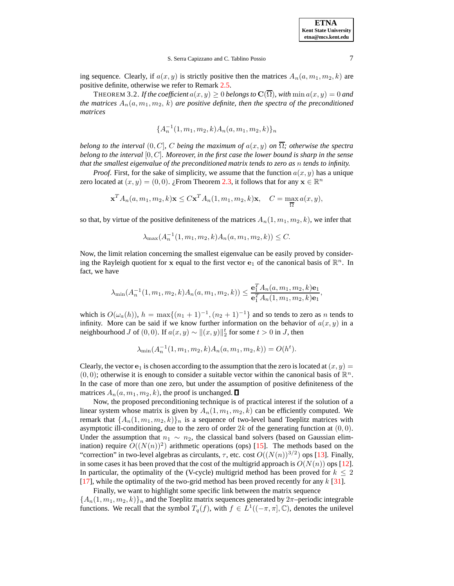

ing sequence. Clearly, if  $a(x, y)$  is strictly positive then the matrices  $A_n(a, m_1, m_2, k)$  are positive definite, otherwise we refer to Remark [2.5.](#page-5-2)

**THEOREM 3.2.** If the coefficient  $a(x, y) \ge 0$  belongs to  $\mathbf{C}(\overline{\Omega})$ , with  $\min a(x, y) = 0$  and *the* matrices  $A_n(a, m_1, m_2, k)$  *are positive definite, then the spectra of the preconditioned matrices*

$$
\{A_n^{-1}(1,m_1,m_2,k)A_n(a,m_1,m_2,k)\}_n
$$

*belong to the interval*  $(0, C]$ *, C being the maximum of*  $a(x, y)$  *on*  $\overline{\Omega}$ *; otherwise the spectra belong to the interval* [0, C]*. Moreover, in the first case the lower bound is sharp in the sense that the smallest eigenvalue of the preconditioned matrix tends to zero as* n *tends to infinity.*

*Proof.* First, for the sake of simplicity, we assume that the function  $a(x, y)$  has a unique zero located at  $(x, y) = (0, 0)$ . ¿From Theorem [2.3,](#page-4-0) it follows that for any  $\mathbf{x} \in \mathbb{R}^n$ 

$$
\mathbf{x}^T A_n(a, m_1, m_2, k) \mathbf{x} \le C \mathbf{x}^T A_n(1, m_1, m_2, k) \mathbf{x}, \quad C = \max_{\overline{\Omega}} a(x, y),
$$

so that, by virtue of the positive definiteness of the matrices  $A_n(1, m_1, m_2, k)$ , we infer that

$$
\lambda_{\max}(A_n^{-1}(1, m_1, m_2, k)A_n(a, m_1, m_2, k)) \le C.
$$

Now, the limit relation concerning the smallest eigenvalue can be easily proved by considering the Rayleigh quotient for x equal to the first vector  $e_1$  of the canonical basis of  $\mathbb{R}^n$ . In fact, we have

$$
\lambda_{\min}(A_n^{-1}(1, m_1, m_2, k)A_n(a, m_1, m_2, k)) \leq \frac{\mathbf{e}_1^T A_n(a, m_1, m_2, k)\mathbf{e}_1}{\mathbf{e}_1^T A_n(1, m_1, m_2, k)\mathbf{e}_1},
$$

which is  $O(\omega_a(h))$ ,  $h = \max\{(n_1 + 1)^{-1}, (n_2 + 1)^{-1}\}\$  and so tends to zero as n tends to infinity. More can be said if we know further information on the behavior of  $a(x, y)$  in a neighbourhood *J* of  $(0, 0)$ . If  $a(x, y) \sim ||(x, y)||_2^t$  for some  $t > 0$  in *J*, then

$$
\lambda_{\min}(A_n^{-1}(1, m_1, m_2, k)A_n(a, m_1, m_2, k)) = O(h^t).
$$

Clearly, the vector  $e_1$  is chosen according to the assumption that the zero is located at  $(x, y)$  =  $(0, 0)$ ; otherwise it is enough to consider a suitable vector within the canonical basis of  $\mathbb{R}^n$ . In the case of more than one zero, but under the assumption of positive definiteness of the matrices  $A_n(a, m_1, m_2, k)$ , the proof is unchanged.  $\square$ 

Now, the proposed preconditioning technique is of practical interest if the solution of a linear system whose matrix is given by  $A_n(1, m_1, m_2, k)$  can be efficiently computed. We remark that  $\{A_n(1,m_1,m_2,k)\}\$ <sub>n</sub> is a sequence of two-level band Toeplitz matrices with asymptotic ill-conditioning, due to the zero of order  $2k$  of the generating function at  $(0, 0)$ . Under the assumption that  $n_1 \sim n_2$ , the classical band solvers (based on Gaussian elimination) require  $O((N(n))^2)$  arithmetic operations (ops) [\[15\]](#page-20-8). The methods based on the "correction" in two-level algebras as circulants,  $\tau$ , etc. cost  $O((N(n))^{3/2})$  ops [\[13\]](#page-20-16). Finally, in some cases it has been proved that the cost of the multigrid approach is  $O(N(n))$  ops [\[12\]](#page-20-9). In particular, the optimality of the (V-cycle) multigrid method has been proved for  $k \leq 2$ [\[17\]](#page-20-17), while the optimality of the two-grid method has been proved recently for any  $k$  [\[31\]](#page-20-12).

Finally, we want to highlight some specific link between the matrix sequence  ${A_n(1, m_1, m_2, k)}_n$  and the Toeplitz matrix sequences generated by  $2\pi$ -periodic integrable functions. We recall that the symbol  $T_q(f)$ , with  $f \in L^1((-\pi,\pi], \mathbb{C})$ , denotes the unilevel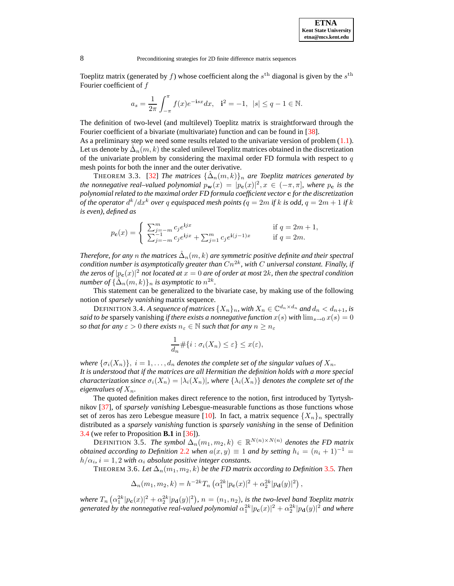**ETNA Kent State University etna@mcs.kent.edu**

8 Preconditioning strategies for 2D finite difference matrix sequences

Toeplitz matrix (generated by f) whose coefficient along the  $s<sup>th</sup>$  diagonal is given by the  $s<sup>th</sup>$ Fourier coefficient of  $f$ 

<span id="page-7-2"></span>
$$
a_s = \frac{1}{2\pi} \int_{-\pi}^{\pi} f(x)e^{-isx} dx
$$
,  $\mathbf{i}^2 = -1$ ,  $|s| \leq q - 1 \in \mathbb{N}$ .

The definition of two-level (and multilevel) Toeplitz matrix is straightforward through the Fourier coefficient of a bivariate (multivariate) function and can be found in [\[38\]](#page-21-1).

As a preliminary step we need some results related to the univariate version of problem  $(1.1)$ . Let us denote by  $\hat{\Delta}_n(m,k)$  the scaled unilevel Toeplitz matrices obtained in the discretization of the univariate problem by considering the maximal order FD formula with respect to  $q$ mesh points for both the inner and the outer derivative.

THEOREM 3.3. [\[32\]](#page-20-13) *The matrices*  $\{\hat{\Delta}_n(m,k)\}_n$  are *Toeplitz matrices generated by the nonnegative real–valued polynomial*  $p_w(x) = |p_c(x)|^2, x \in (-\pi, \pi]$ , *where*  $p_c$  *is the polynomialrelated to the maximal order FD formula coefficient vector* c *for the discretization of the operator*  $d^k/dx^k$  *over*  $q$  *equispaced mesh points (* $q=2m$  *if*  $k$  *is odd,*  $q=2m+1$  *if*  $k$ *is even), defined as*

$$
p_{\mathbf{c}}(x) = \begin{cases} \sum_{j=-m}^{m} c_j e^{ijx} & \text{if } q = 2m+1, \\ \sum_{j=-m}^{-1} c_j e^{ijx} + \sum_{j=1}^{m} c_j e^{i(j-1)x} & \text{if } q = 2m. \end{cases}
$$

 $\hat{D}$  *Therefore, for any*  $n$  *the matrices*  $\hat{\Delta}_n(m,k)$  *are symmetric positive definite and their spectral*  $\epsilon$  *condition number is asymptotically greater than*  $Cn^{2k}$ *, with*  $C$  *universal constant. Finally, if*  $\int$  *the zeros of*  $|p_{\mathbf{c}}(x)|^2$  *not located at*  $x=0$  *are of order at most 2k, then the spectral condition number of*  $\{\hat{\Delta}_n(m,k)\}_n$  *is asymptotic to*  $n^{2k}$ *.* 

This statement can be generalized to the bivariate case, by making use of the following notion of *sparsely vanishing* matrix sequence.

<span id="page-7-0"></span>DEFINITION 3.4. *A sequence of matrices*  $\{X_n\}_n$ , with  $X_n \in \mathbb{C}^{d_n \times d_n}$  and  $d_n < d_{n+1}$ , is *said to be* sparsely vanishing *if there exists a nonnegative function*  $x(s)$  *with*  $\lim_{s\to 0} x(s) = 0$ *so that for any*  $\varepsilon > 0$  *there exists*  $n_{\varepsilon} \in \mathbb{N}$  *such that for any*  $n \geq n_{\varepsilon}$ 

$$
\frac{1}{d_n} \# \{ i : \sigma_i(X_n) \le \varepsilon \} \le x(\varepsilon),
$$

*where*  $\{\sigma_i(X_n)\}, i = 1, \ldots, d_n$  *denotes the complete set of the singular values of*  $X_n$ . *It is understood that if the matrices are all Hermitian the definition holds with a more special characterization since*  $\sigma_i(X_n) = |\lambda_i(X_n)|$ *, where*  $\{\lambda_i(X_n)\}\)$  *denotes the complete set of the eigenvalues* of  $X_n$ *.* 

The quoted definition makes direct reference to the notion, first introduced by Tyrtyshnikov [\[37\]](#page-21-2), of *sparsely vanishing* Lebesgue-measurable functions as those functions whose set of zeros has zero Lebesgue measure [\[10\]](#page-20-18). In fact, a matrix sequence  $\{X_n\}_n$  spectrally distributed as a *sparsely vanishing* function is *sparsely vanishing* in the sense of Definition [3.4](#page-7-0) (we refer to Proposition **B.1** in [\[36\]](#page-20-19)).

DEFINITION 3.5. *The symbol*  $\Delta_n(m_1, m_2, k) \in \mathbb{R}^{N(n) \times N(n)}$  denotes the FD matrix *obtained according to Definition* [2.2](#page-2-1) *when*  $a(x, y) \equiv 1$  *and by setting*  $h_i = (n_i + 1)^{-1}$  $h/\alpha_i$ ,  $i = 1, 2$  *with*  $\alpha_i$  *absolute positive integer constants.* 

THEOREM 3.6. Let  $\Delta_n(m_1, m_2, k)$  be the FD matrix according to Definition [3.5](#page-7-1). Then

<span id="page-7-3"></span><span id="page-7-1"></span> $\Delta_n(m_1, m_2, k) = h^{-2k} T_n \left( \alpha_1^{2k} |p_c(x)|^2 + \alpha_2^{2k} |p_d(y)|^2 \right),$ 

where  $T_n \left( \alpha_1^{2k} |p_{\bf c}(x)|^2 + \alpha_2^{2k} |p_{\bf d}(y)|^2 \right)$ ,  $n = (n_1, n_2)$ , is the two-level band Toeplitz matrix generated by the nonnegative real-valued polynomial  $\alpha_1^{2k}|p_{\bf c}(x)|^2+\alpha_2^{2k}|p_{\bf d}(y)|^2$  and where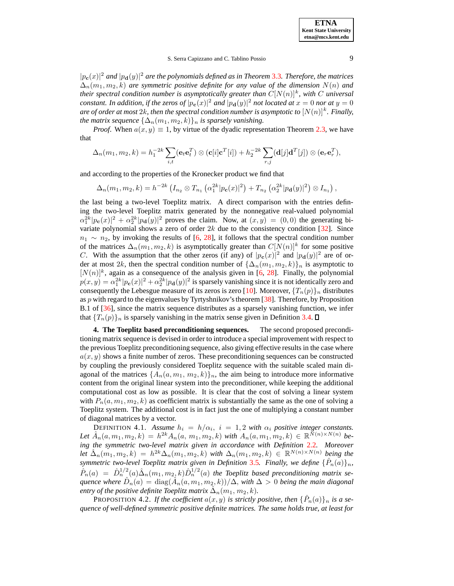$|p_{\bf{c}}(x)|^2$  and  $|p_{\bf{d}}(y)|^2$  are the polynomials defined as in Theorem [3.3](#page-7-2). Therefore, the matrices  $\Delta_n(m_1, m_2, k)$  *are symmetric positive definite for any value of the dimension*  $N(n)$  *and their spectral condition number is asymptotically greater than*  $C[N(n)]^k$ , with C universal *constant. In addition, if the zeros of*  $|p_c(x)|^2$  *and*  $|p_d(y)|^2$  *not located at*  $x = 0$  *nor at*  $y = 0$  $a$ re of order at most  $2k$ , then the spectral condition number is asymptotic to  $[N(n)]^k$ . Finally, *the matrix sequence*  $\{\Delta_n(m_1, m_2, k)\}_n$  *is sparsely vanishing.* 

*Proof.* When  $a(x, y) \equiv 1$ , by virtue of the dyadic representation Theorem [2.3,](#page-4-0) we have that

$$
\Delta_n(m_1, m_2, k) = h_1^{-2k} \sum_{i,t} (\mathbf{e}_t \mathbf{e}_t^T) \otimes (\mathbf{c}[i] \mathbf{c}^T[i]) + h_2^{-2k} \sum_{r,j} (\mathbf{d}[j] \mathbf{d}^T[j]) \otimes (\mathbf{e}_r \mathbf{e}_r^T),
$$

and according to the properties of the Kronecker product we find that

$$
\Delta_n(m_1, m_2, k) = h^{-2k} \left( I_{n_2} \otimes T_{n_1} \left( \alpha_1^{2k} |p_{\mathbf{c}}(x)|^2 \right) + T_{n_2} \left( \alpha_2^{2k} |p_{\mathbf{d}}(y)|^2 \right) \otimes I_{n_1} \right),
$$

the last being a two-level Toeplitz matrix. A direct comparison with the entries defining the two-level Toeplitz matrix generated by the nonnegative real-valued polynomial  $\alpha_1^{2k}|p_c(x)|^2 + \alpha_2^{2k}|p_d(y)|^2$  proves the claim. Now, at  $(x, y) = (0, 0)$  the generating bivariate polynomial shows a zero of order  $2k$  due to the consistency condition [\[32\]](#page-20-13). Since  $n_1 \sim n_2$ , by invoking the results of [\[6,](#page-20-20) [28\]](#page-20-21), it follows that the spectral condition number of the matrices  $\Delta_n(m_1, m_2, k)$  is asymptotically greater than  $C[N(n)]^k$  for some positive C. With the assumption that the other zeros (if any) of  $|p_c(x)|^2$  and  $|p_d(y)|^2$  are of order at most 2k, then the spectral condition number of  $\{\Delta_n(m_1, m_2, k)\}_n$  is asymptotic to  $[N(n)]^k$ , again as a consequence of the analysis given in [\[6,](#page-20-20) [28\]](#page-20-21). Finally, the polynomial  $p(x,y) = \alpha_1^{2k} |p_c(x)|^2 + \alpha_2^{2k} |p_d(y)|^2$  is sparsely vanishing since it is not identically zero and consequently the Lebesgue measure of its zeros is zero [\[10\]](#page-20-18). Moreover,  $\{T_n(p)\}_n$  distributes as  $p$  with regard to the eigenvalues by Tyrtyshnikov's theorem [\[38\]](#page-21-1). Therefore, by Proposition B.1 of [\[36\]](#page-20-19), since the matrix sequence distributes as a sparsely vanishing function, we infer that  ${T_n(p)}_n$  is sparsely vanishing in the matrix sense given in Definition [3.4.](#page-7-0)

<span id="page-8-0"></span>**4. The Toeplitz based preconditioning sequences.** The second proposed preconditioning matrix sequence is devised in order to introduce a special improvement with respect to the previous Toeplitz preconditioning sequence, also giving effective results in the case where  $a(x, y)$  shows a finite number of zeros. These preconditioning sequences can be constructed by coupling the previously considered Toeplitz sequence with the suitable scaled main diagonal of the matrices  $\{A_n(a, m_1, m_2, k)\}_n$ , the aim being to introduce more informative content from the original linear system into the preconditioner, while keeping the additional computational cost as low as possible. It is clear that the cost of solving a linear system with  $P_n(a, m_1, m_2, k)$  as coefficient matrix is substantially the same as the one of solving a Toeplitz system. The additional cost is in fact just the one of multiplying a constant number of diagonal matrices by a vector.

<span id="page-8-1"></span>DEFINITION 4.1. Assume  $h_i = h/\alpha_i$ ,  $i = 1, 2$  with  $\alpha_i$  positive integer constants.  $\text{Let } \hat{A}_n(a, m_1, m_2, k) = h^{2k} A_n(a, m_1, m_2, k) \text{ with } A_n(a, m_1, m_2, k) \in \mathbb{R}^{\tilde{N}(n) \times N(n)} \text{ be-}$ *ing the symmetric two-level matrix given in accordance with Definition* [2.2](#page-2-1)*. Moreover* Let  $\hat{\Delta}_n(m_1, m_2, k) = h^{2k} \Delta_n(m_1, m_2, k)$  with  $\Delta_n(m_1, m_2, k) \in \mathbb{R}^{N(n) \times N(n)}$  being the *symmetric two-level Toeplitz matrix given in Definition* [3.5](#page-7-1)*. Finally, we define*  $\{\hat{P}_n(a)\}_n$ *,*  $\hat{P}_n(a) = \hat{D}_n^{1/2}(a)\hat{\Delta}_n(m_1, m_2, k)\hat{D}_n^{1/2}(a)$  the Toeplitz based preconditioning matrix se $quence$  where  $\hat{D}_n(a) = \text{diag}(\hat{A}_n(a, m_1, m_2, k))/\hat{\Delta}$ , with  $\Delta > 0$  being the main diagonal  $P(\text{entry of the positive definite Toeplitz matrix } \hat{\Delta}_n(m_1, m_2, k)$ .

PROPOSITION 4.2. *If the coefficient*  $a(x, y)$  *is strictly positive, then*  $\{\hat{P}_n(a)\}_n$  *is a sequence of well-defined symmetric positive definite matrices. The same holds true, at least for*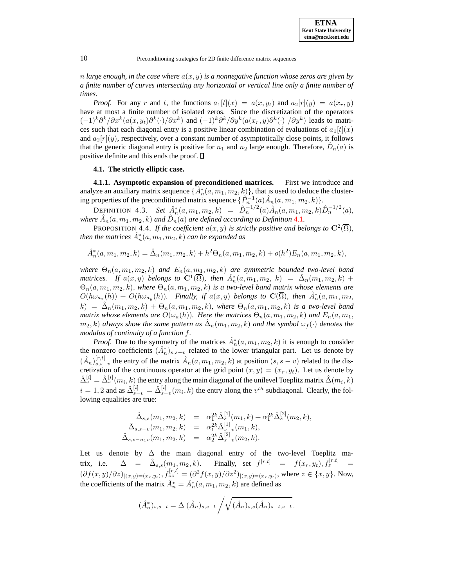$n$  *large enough, in the case where*  $a(x, y)$  *is a nonnegative function whose zeros are given by a finite number of curves intersecting any horizontal or vertical line only a finite number of times.*

*Proof.* For any r and t, the functions  $a_1[t](x) = a(x, y_t)$  and  $a_2[r](y) = a(x_r, y)$ have at most a finite number of isolated zeros. Since the discretization of the operators  $(-1)^k \partial^k/\partial x^k (a(x,y_t) \partial^k(\cdot)/\partial x^k)$  and  $(-1)^k \partial^k/\partial y^k (a(x_r,y) \partial^k(\cdot)/\partial y^k)$  leads to matrices such that each diagonal entry is a positive linear combination of evaluations of  $a_1[t](x)$ and  $a_2[r](y)$ , respectively, over a constant number of asymptotically close points, it follows that the generic diagonal entry is positive for  $n_1$  and  $n_2$  large enough. Therefore,  $\hat{D}_n(a)$  is positive definite and this ends the proof.  $\square$ 

## <span id="page-9-0"></span>**4.1. The strictly elliptic case.**

**4.1.1. Asymptotic expansion of preconditioned matrices.** First we introduce and analyze an auxiliary matrix sequence  $\{\hat{A}_n^*(a, m_1, m_2, k)\}$ , that is used to deduce the clustering properties of the preconditioned matrix sequence  $\{\hat{P}_n^{-1}(a)\hat{A}_n(a, m_1, m_2, k)\}.$ 

<span id="page-9-1"></span>DEFINITION 4.3. *Set*  $\hat{A}_n^*(a, m_1, m_2, k) = \hat{D}_n^{-1/2}(a)\hat{A}_n(a, m_1, m_2, k)\hat{D}_n^{-1/2}(a)$ , where  $\hat{A}_n(a, m_1, m_2, k)$  and  $\hat{D}_n(a)$  are defined according to Definition [4.1](#page-8-1).

PROPOSITION 4.4. *If the coefficient*  $a(x, y)$  *is strictly positive and belongs to*  $\mathbb{C}^2(\overline{\Omega})$ *,*  $i$  *then the matrices*  $\hat{A}_n^*(a, m_1, m_2, k)$  $can$  $be$  $expanded$  $as$ 

$$
\hat{A}_n^*(a, m_1, m_2, k) = \hat{\Delta}_n(m_1, m_2, k) + h^2 \Theta_n(a, m_1, m_2, k) + o(h^2) E_n(a, m_1, m_2, k),
$$

*where*  $\Theta_n(a, m_1, m_2, k)$  *and*  $E_n(a, m_1, m_2, k)$  *are symmetric bounded two-level band matrices. If*  $a(x, y)$  *belongs to*  $\mathbf{C}^1(\overline{\Omega})$ *, then*  $\hat{A}_n^*(a, m_1, m_2, k) = \hat{\Delta}_n(m_1, m_2, k) +$  $\Theta_n(a, m_1, m_2, k)$ , where  $\Theta_n(a, m_1, m_2, k)$  *is a two-level band matrix whose elements are*  $O(h\omega_{a_x}(h)) + O(h\omega_{a_y}(h))$ . Finally, if  $a(x, y)$  belongs to  $\mathbf{C}(\overline{\Omega})$ , then  $\hat{A}_n^*(a, m_1, m_2,$  $h(k) = \hat{\Delta}_n(m_1, m_2, k) + \Theta_n(a, m_1, m_2, k)$ , where  $\Theta_n(a, m_1, m_2, k)$  *is a two-level band matrix whose elements are*  $O(\omega_a(h))$ *. Here the matrices*  $\Theta_n(a, m_1, m_2, k)$  *and*  $E_n(a, m_1, m_2, k)$  $(m_2, k)$  *always show the same pattern as*  $\hat{\Delta}_n(m_1, m_2, k)$  *and the symbol*  $\omega_f(\cdot)$  *denotes the modulus of continuity of a function* f*.*

*Proof.* Due to the symmetry of the matrices  $\hat{A}_n^*(a, m_1, m_2, k)$  it is enough to consider the nonzero coefficients  $(\hat{A}_n^*)_{s,s-v}$  related to the lower triangular part. Let us denote by  $(\hat{A}_n)_{s,s-v}^{[r,t]}$  the entry of the matrix  $\hat{A}_n(a, m_1, m_2, k)$  at position  $(s, s-v)$  related to the discretization of the continuous operator at the grid point  $(x, y) = (x_r, y_t)$ . Let us denote by  $\hat\Delta_s^{[i]}=\hat\Delta_s^{[i]}(m_i,k)$  the entry along the main diagonal of the unilevel Toeplitz matrix  $\hat\Delta(m_i,k)$  $i = 1, 2$  and as  $\hat{\Delta}_{s-v}^{[i]} = \hat{\Delta}_{s-v}^{[i]}(m_i, k)$  the entry along the  $v^{th}$  subdiagonal. Clearly, the following equalities are true:

$$
\hat{\Delta}_{s,s}(m_1, m_2, k) = \alpha_1^{2k} \hat{\Delta}_s^{[1]}(m_1, k) + \alpha_1^{2k} \hat{\Delta}_s^{[2]}(m_2, k), \n\hat{\Delta}_{s,s-v}(m_1, m_2, k) = \alpha_1^{2k} \hat{\Delta}_{s-v}^{[1]}(m_1, k), \n\hat{\Delta}_{s,s-n_1v}(m_1, m_2, k) = \alpha_2^{2k} \hat{\Delta}_{s-v}^{[2]}(m_2, k).
$$

Let us denote by  $\Delta$  the main diagonal entry of the two-level Toeplitz matrix, i.e.  $\Delta = \hat{\Delta}_{s,s}(m_1, m_2, k)$ . Finally, set  $f^{[r,t]} = f(x_r, y_t)$ ,  $f_z^{[r,t]} =$  $(\partial f(x,y)/\partial z)_{|(x,y)=(x_r,y_t)}, f_{zz}^{[r,t]} = (\partial^2 f(x,y)/\partial z^2)_{|(x,y)=(x_r,y_t)},$  where  $z \in \{x,y\}.$  Now, the coefficients of the matrix  $\hat{A}_n^* = \hat{A}_n^*(a, m_1, m_2, k)$  are defined as

$$
(\hat{A}_n^*)_{s,s-t} = \Delta (\hat{A}_n)_{s,s-t} / \sqrt{(\hat{A}_n)_{s,s}(\hat{A}_n)_{s-t,s-t}}.
$$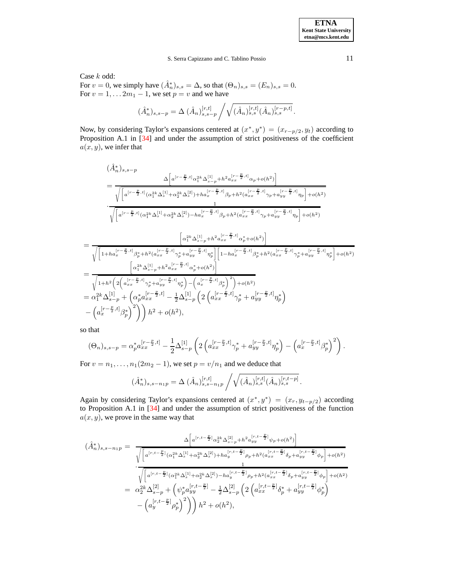Case k odd:

For  $v = 0$ , we simply have  $(\hat{A}_n^*)_{s,s} = \Delta$ , so that  $(\Theta_n)_{s,s} = (E_n)_{s,s} = 0$ . For  $v = 1, \dots 2m_1 - 1$ , we set  $p = v$  and we have

$$
(\hat{A}_n^*)_{s,s-p} = \Delta \left( \hat{A}_n \right)_{s,s-p}^{[r,t]} \bigg/ \sqrt{(\hat{A}_n)_{s,s}^{[r,t]} (\hat{A}_n)_{s,s}^{[r-p,t]}}.
$$

Now, by considering Taylor's expansions centered at  $(x^*, y^*) = (x_{r-p/2}, y_t)$  according to Proposition A.1 in [\[34\]](#page-20-14) and under the assumption of strict positiveness of the coefficient  $a(x, y)$ , we infer that

$$
\begin{split}\n&(\hat{A}_{n}^{*})_{s,s-p} \\
&= \frac{\Delta\left[a^{[r-\frac{p}{2},t]} \alpha_{1}^{2k} \Delta_{s-p}^{[1]} + h^{2} a_{xx}^{[r-\frac{p}{2},t]} \alpha_{p}+o(h^{2})\right]}{\sqrt{\left[a^{[r-\frac{p}{2},t]} (\alpha_{1}^{2k} \Delta_{s}^{[1]} + \alpha_{2}^{2k} \Delta_{s}^{[2]}) + h a_{x}^{[r-\frac{p}{2},t]} \beta_{p}+h^{2} (a_{xx}^{[r-\frac{p}{2},t]} \gamma_{p}+a_{yy}^{[r-\frac{p}{2},t]} \eta_{p}\right]+o(h^{2})}} \\
&\cdot \frac{\sqrt{\left[a^{[r-\frac{p}{2},t]} (\alpha_{1}^{2k} \Delta_{s}^{[1]} + \alpha_{2}^{2k} \Delta_{s}^{[2]}) - h a_{x}^{[r-\frac{p}{2},t]} \beta_{p}+h^{2} (a_{xx}^{[r-\frac{p}{2},t]} \gamma_{p}+a_{yy}^{[r-\frac{p}{2},t]} \eta_{p}\right]+o(h^{2})}\n\end{split}
$$
\n
$$
= \frac{\left[\alpha_{1}^{2k} \Delta_{s-p}^{[1]} + h^{2} a_{xx}^{[r-\frac{p}{2},t]} \alpha_{p}+o(h^{2})\right]}{\sqrt{\left[1+h a_{x}^{[r-\frac{p}{2},t]} \beta_{p}+h^{2} (a_{xx}^{[r-\frac{p}{2},t]} \gamma_{p}^{*}+a_{yy}^{[r-\frac{p}{2},t]} \alpha_{p}^{*}+o(h^{2})\right]}}\n= \frac{\left[\alpha_{1}^{2k} \Delta_{s-p}^{[1]} + h^{2} a_{xx}^{[r-\frac{p}{2},t]} \alpha_{p}^{*}+o(h^{2})\right]}{\sqrt{1+h^{2}\left(2\left(a_{xx}^{[r-\frac{p}{2},t]} \gamma_{p}^{*}+a_{yy}^{[r-\frac{p}{2},t]} \alpha_{p}^{*}+o(h^{2})\right)}}\n= \alpha_{1}^{2k} \Delta_{s-p}^{[1]} + \left(\alpha_{p}^{*} a_{xx}^{[r-\frac{p}{2},t]} - \frac{1}{2} \Delta_{s-p}^{[1]} \left(2\left(a_{xx}^{[r-\frac{p
$$

so that

$$
(\Theta_n)_{s,s-p} = \alpha_p^* a_{xx}^{[r-\frac{p}{2},t]} - \frac{1}{2} \Delta_{s-p}^{[1]} \left( 2 \left( a_{xx}^{[r-\frac{p}{2},t]} \gamma_p^* + a_{yy}^{[r-\frac{p}{2},t]} \eta_p^* \right) - \left( a_x^{[r-\frac{p}{2},t]} \beta_p^* \right)^2 \right).
$$

For  $v = n_1, \ldots, n_1(2m_2 - 1)$ , we set  $p = v/n_1$  and we deduce that

$$
(\hat{A}_n^*)_{s,s-n_1p} = \Delta \left( \hat{A}_n \right)_{s,s-n_1p}^{[r,t]} \bigg/ \sqrt{(\hat{A}_n)_{s,s}^{[r,t]} (\hat{A}_n)_{s,s}^{[r,t-p]}}.
$$

Again by considering Taylor's expansions centered at  $(x^*, y^*) = (x_r, y_{t-p/2})$  according to Proposition A.1 in [\[34\]](#page-20-14) and under the assumption of strict positiveness of the function  $a(x, y)$ , we prove in the same way that

$$
(\hat{A}_{n}^{*})_{s,s-n_1p} = \frac{\Delta \left[ a^{[r,t-\frac{p}{2}]} \alpha_2^{2k} \Delta_{s-p}^{[2]} + h^2 a_{yy}^{[r,t-\frac{p}{2}]} \psi_p + o(h^2) \right]}{\sqrt{\left[ a^{[r,t-\frac{p}{2}]} (\alpha_1^{2k} \Delta_s^{[1]} + \alpha_2^{2k} \Delta_s^{[2]}) + h a_y^{[r,t-\frac{p}{2}]} \rho_p + h^2 (a_{xx}^{[r,t-\frac{p}{2}]} \delta_p + a_{yy}^{[r,t-\frac{p}{2}]} \phi_p \right] + o(h^2)}}
$$
\n
$$
= \frac{\sqrt{\left[ a^{[r,t-\frac{p}{2}]} (\alpha_1^{2k} \Delta_s^{[1]} + \alpha_2^{2k} \Delta_s^{[2]}) - h a_y^{[r,t-\frac{p}{2}]} \rho_p + h^2 (a_{xx}^{[r,t-\frac{p}{2}]} \delta_p + a_{yy}^{[r,t-\frac{p}{2}]} \phi_p \right] + o(h^2)}}{\alpha_2^{2k} \Delta_{s-p}^{[2]} + \left( \psi_p^* a_{yy}^{[r,t-\frac{p}{2}]} - \frac{1}{2} \Delta_{s-p}^{[2]} \left( 2 \left( a_{xx}^{[r,t-\frac{p}{2}]} \delta_p^* + a_{yy}^{[r,t-\frac{p}{2}]} \phi_p^* \right) - \left( a_y^{[r,t-\frac{p}{2}]} \rho_p^* \right)^2 \right) \right) h^2 + o(h^2),}
$$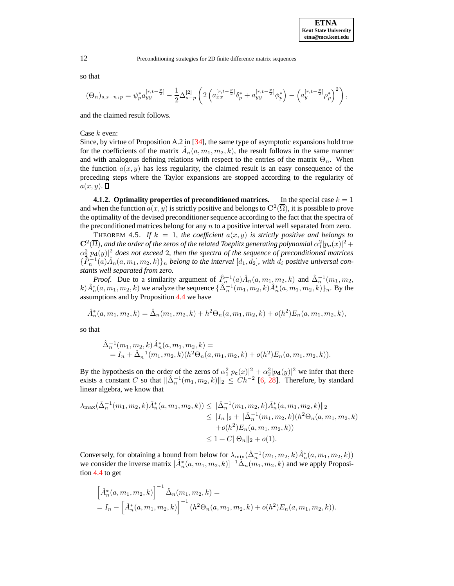so that

$$
(\Theta_n)_{s,s-n_1p} = \psi_p^* a_{yy}^{[r,t-\frac{p}{2}]} - \frac{1}{2} \Delta_{s-p}^{[2]} \left( 2 \left( a_{xx}^{[r,t-\frac{p}{2}]} \delta_p^* + a_{yy}^{[r,t-\frac{p}{2}]} \phi_p^* \right) - \left( a_y^{[r,t-\frac{p}{2}]} \rho_p^* \right)^2 \right),
$$

and the claimed result follows.

Case  $k$  even:

Since, by virtue of Proposition A.2 in [\[34\]](#page-20-14), the same type of asymptotic expansions hold true for the coefficients of the matrix  $\hat{A}_n(a, m_1, m_2, k)$ , the result follows in the same manner and with analogous defining relations with respect to the entries of the matrix  $\Theta_n$ . When the function  $a(x, y)$  has less regularity, the claimed result is an easy consequence of the preceding steps where the Taylor expansions are stopped according to the regularity of  $a(x, y)$ .

<span id="page-11-0"></span>**4.1.2. Optimality properties** of **preconditioned matrices.** In the special case  $k = 1$ and when the function  $a(x, y)$  is strictly positive and belongs to  $\mathbb{C}^2(\overline{\Omega})$ , it is possible to prove the optimality of the devised preconditioner sequence according to the fact that the spectra of the preconditioned matrices belong for any  $n$  to a positive interval well separated from zero.

THEOREM 4.5. If  $k = 1$ , the coefficient  $a(x, y)$  is strictly positive and belongs to  $\mathbf{C}^2(\overline{\Omega})$ , and the order of the zeros of the related Toeplitz generating polynomial  $\alpha_1^2|p_{\mathbf{c}}(x)|^2 +$  $\alpha_2^2 |p_{\bf d}(y)|^2$  does not exceed 2, then the spectra of the sequence of preconditioned matrices  $\{\tilde{P}_n^{-1}(a)A_n(a, m_1, m_2, k)\}_n$  belong to the interval  $[d_1, d_2]$ , with  $d_i$  positive universal con*stants well separated from zero.*

*Proof.* Due to a similarity argument of  $\hat{P}_n^{-1}(a)\hat{A}_n(a, m_1, m_2, k)$  and  $\hat{\Delta}_n^{-1}(m_1, m_2, k)$  $k) \hat{A}_n^*(a, m_1, m_2, k)$  we analyze the sequence  $\{\hat{\Delta}_n^{-1}(m_1, m_2, k)\hat{A}_n^*(a, m_1, m_2, k)\}_n$ . By the assumptions and by Proposition [4.4](#page-9-0) we have

$$
\hat{A}_n^*(a, m_1, m_2, k) = \hat{\Delta}_n(m_1, m_2, k) + h^2 \Theta_n(a, m_1, m_2, k) + o(h^2) E_n(a, m_1, m_2, k),
$$

so that

$$
\hat{\Delta}_n^{-1}(m_1, m_2, k)\hat{A}_n^*(a, m_1, m_2, k) =
$$
  
=  $I_n + \hat{\Delta}_n^{-1}(m_1, m_2, k)(h^2\Theta_n(a, m_1, m_2, k) + o(h^2)E_n(a, m_1, m_2, k)).$ 

By the hypothesis on the order of the zeros of  $\alpha_1^2 |p_c(x)|^2 + \alpha_2^2 |p_d(y)|^2$  we infer that there exists a constant C so that  $\|\hat{\Delta}_n^{-1}(m_1, m_2, k)\|_2 \leq C h^{-2}$  [\[6,](#page-20-20) [28\]](#page-20-21). Therefore, by standard linear algebra, we know that

$$
\lambda_{\max}(\hat{\Delta}_n^{-1}(m_1, m_2, k)\hat{A}_n^*(a, m_1, m_2, k)) \leq \|\hat{\Delta}_n^{-1}(m_1, m_2, k)\hat{A}_n^*(a, m_1, m_2, k)\|_2
$$
  
\n
$$
\leq \|I_n\|_2 + \|\hat{\Delta}_n^{-1}(m_1, m_2, k)(h^2\Theta_n(a, m_1, m_2, k)) + o(h^2)E_n(a, m_1, m_2, k))
$$
  
\n
$$
\leq 1 + C\|\Theta_n\|_2 + o(1).
$$

Conversely, for obtaining a bound from below for  $\lambda_{\min}(\hat{\Delta}_n^{-1}(m_1, m_2, k)\hat{A}_n^*(a, m_1, m_2, k))$ we consider the inverse matrix  $[\hat{A}_n^*(a, m_1, m_2, k)]^{-1} \hat{\Delta}_n(m_1, m_2, k)$  and we apply Proposition [4.4](#page-9-0) to get

$$
\[\hat{A}_n^*(a, m_1, m_2, k)\]^{-1} \hat{\Delta}_n(m_1, m_2, k) =
$$
  
=  $I_n - \left[\hat{A}_n^*(a, m_1, m_2, k)\right]^{-1} (h^2 \Theta_n(a, m_1, m_2, k) + o(h^2) E_n(a, m_1, m_2, k)).$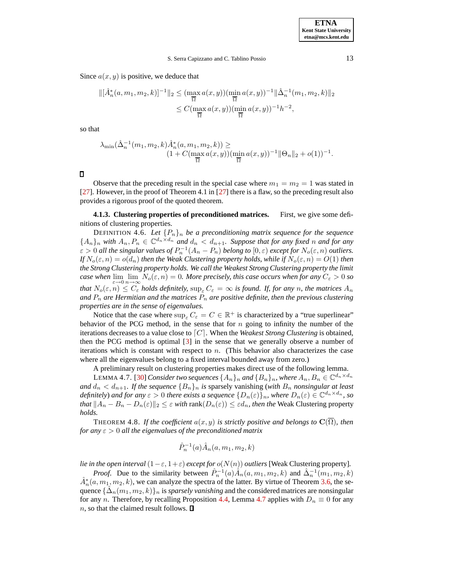Since  $a(x, y)$  is positive, we deduce that

$$
\begin{aligned} \|[A_n^*(a, m_1, m_2, k)]^{-1}\|_2 &\leq (\max_{\overline{\Omega}} a(x, y)) (\min_{\overline{\Omega}} a(x, y))^{-1} \|\hat{\Delta}_n^{-1}(m_1, m_2, k)\|_2 \\ &\leq C (\max_{\overline{\Omega}} a(x, y)) (\min_{\overline{\Omega}} a(x, y))^{-1} h^{-2}, \end{aligned}
$$

so that

$$
\lambda_{\min}(\hat{\Delta}_n^{-1}(m_1, m_2, k)\hat{A}_n^*(a, m_1, m_2, k)) \ge (1 + C(\max_{\overline{\Omega}} a(x, y))(\min_{\overline{\Omega}} a(x, y))^{-1} \|\Theta_n\|_2 + o(1))^{-1}.
$$

 $\Box$ 

Observe that the preceding result in the special case where  $m_1 = m_2 = 1$  was stated in [\[27\]](#page-20-1). However, in the proof of Theorem 4.1 in [\[27\]](#page-20-1) there is a flaw, so the preceding result also provides a rigorous proof of the quoted theorem.

**4.1.3. Clustering properties of preconditioned matrices.** First, we give some definitions of clustering properties.

DEFINITION 4.6. Let  ${P_n}_n$  *be a preconditioning matrix sequence for the sequence*  ${A_n}_n$  *with*  $A_n, P_n \in \mathbb{C}^{d_n \times d_n}$  *and*  $d_n < d_{n+1}$ *. Suppose that for any fixed n and for any*  $\varepsilon > 0$  all the singular values of  $P_n^{-1}(A_n - P_n)$  belong to  $[0, \varepsilon)$  except for  $N_o(\varepsilon, n)$  outliers. *If*  $N_o(\varepsilon, n) = o(d_n)$  *then the Weak Clustering property holds, while if*  $N_o(\varepsilon, n) = O(1)$  *then the Strong Clustering property holds. We call the Weakest Strong Clustering property the limit case* when  $\lim_{\varepsilon\to 0}\lim_{n\to\infty}N_o(\varepsilon,n)=0$ . More precisely, this case occurs when for any  $C_\varepsilon>0$  so *that*  $N_o(\varepsilon, n) \leq C_{\varepsilon}$  *holds definitely,*  $\sup_{\varepsilon} C_{\varepsilon} = \infty$  *is found. If, for any n, the matrices*  $A_n$ *and*  $P_n$  *are Hermitian and the matrices*  $P_n$  *are positive definite, then the previous clustering properties are in the sense of eigenvalues.*

Notice that the case where  $\sup_{\varepsilon} C_{\varepsilon} = C \in \mathbb{R}^+$  is characterized by a "true superlinear" behavior of the PCG method, in the sense that for  $n$  going to infinity the number of the iterations decreases to a value close to  $\lceil C \rceil$ . When the *Weakest Strong Clustering* is obtained, then the PCG method is optimal [\[3\]](#page-19-1) in the sense that we generally observe a number of iterations which is constant with respect to  $n$ . (This behavior also characterizes the case where all the eigenvalues belong to a fixed interval bounded away from zero.)

A preliminary result on clustering properties makes direct use of the following lemma.

LEMMA 4.7. [\[30\]](#page-20-2) *Consider two sequences*  $\{A_n\}_n$  *and*  $\{B_n\}_n$ *, where*  $A_n, B_n \in \mathbb{C}^{d_n \times d_n}$ *and*  $d_n < d_{n+1}$ *. If the sequence*  ${B_n}_n$  *is sparsely vanishing (with*  $B_n$  *nonsingular at least definitely*) *and for any*  $\varepsilon > 0$  *there exists a sequence*  $\{D_n(\varepsilon)\}_n$ *, where*  $D_n(\varepsilon) \in \mathbb{C}^{d_n \times d_n}$ *, so that*  $||A_n - B_n - D_n(\varepsilon)||_2 \leq \varepsilon$  *with* rank $(D_n(\varepsilon)) \leq \varepsilon d_n$ *, then the* Weak Clustering property *holds.*

<span id="page-12-1"></span>THEOREM 4.8. *If the coefficient*  $a(x, y)$  *is strictly positive and belongs to*  $\mathbf{C}(\Omega)$ *, then for any*  $\varepsilon > 0$  *all the eigenvalues of the preconditioned matrix* 

<span id="page-12-0"></span>
$$
\hat{P}_n^{-1}(a)\hat{A}_n(a, m_1, m_2, k)
$$

*lie in the open interval*  $(1 - \varepsilon, 1 + \varepsilon)$  *except for*  $o(N(n))$  *outliers* [Weak Clustering property].

*Proof.* Due to the similarity between  $\hat{P}_n^{-1}(a) \hat{A}_n(a, m_1, m_2, k)$  and  $\hat{\Delta}_n^{-1}(m_1, m_2, k)$  $\hat{A}_n^*(a, m_1, m_2, k)$ , we can analyze the spectra of the latter. By virtue of Theorem [3.6,](#page-7-3) the sequence  $\{\hat{\Delta}_n(m_1, m_2, k)\}_n$  is *sparsely vanishing* and the considered matrices are nonsingular for any n. Therefore, by recalling Proposition [4.4,](#page-9-0) Lemma [4.7](#page-12-0) applies with  $D_n \equiv 0$  for any  $n$ , so that the claimed result follows.  $\square$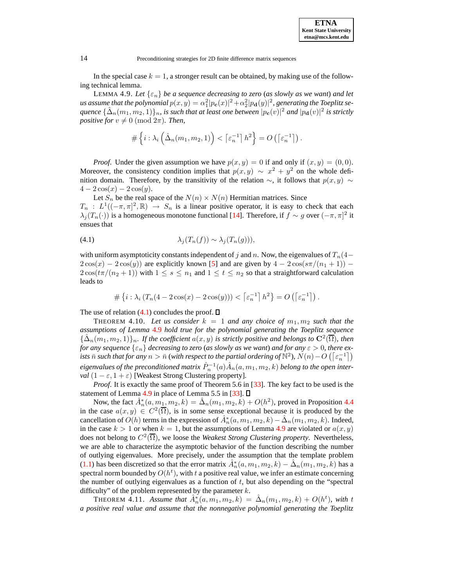| <b>ETNA</b>                  |
|------------------------------|
| <b>Kent State University</b> |
| etna@mcs.kent.edu            |

<span id="page-13-1"></span>In the special case  $k = 1$ , a stronger result can be obtained, by making use of the following technical lemma.

**LEMMA 4.9.** Let  $\{\varepsilon_n\}$  be a sequence decreasing to zero (as slowly as we want) and let  $\alpha$  *us assume that the polynomial*  $p(x,y) = \alpha_1^2 |p_{\bf c}(x)|^2 + \alpha_2^2 |p_{\bf d}(y)|^2$ *, generating the Toeplitz se-* $\{ \hat{\Delta}_n(m_1,m_2,1)\}_n$ , is such that at least one between  $|p_{\bf c}(v)|^2$  and  $|p_{\bf d}(v)|^2$  is strictly *positive for*  $v \neq 0 \pmod{2\pi}$ *. Then,* 

$$
\#\left\{i:\lambda_i\left(\hat{\Delta}_n(m_1,m_2,1)\right)<\left\lceil \varepsilon_n^{-1}\right\rceil h^2\right\}=O\left(\left\lceil \varepsilon_n^{-1}\right\rceil\right).
$$

*Proof.* Under the given assumption we have  $p(x, y) = 0$  if and only if  $(x, y) = (0, 0)$ . Moreover, the consistency condition implies that  $p(x, y) \sim x^2 + y^2$  on the whole definition domain. Therefore, by the transitivity of the relation  $\sim$ , it follows that  $p(x, y) \sim$  $4 - 2\cos(x) - 2\cos(y)$ .

Let  $S_n$  be the real space of the  $N(n) \times N(n)$  Hermitian matrices. Since  $T_n : L^1((-\pi,\pi]^2,\mathbb{R}) \to S_n$  is a linear positive operator, it is easy to check that each  $\lambda_j(T_n(\cdot))$  is a homogeneous monotone functional [\[14\]](#page-20-22). Therefore, if  $f \sim g$  over  $(-\pi, \pi]^2$  it ensues that

<span id="page-13-0"></span>(4.1) 
$$
\lambda_j(T_n(f)) \sim \lambda_j(T_n(g))),
$$

with uniform asymptoticity constants independent of j and n. Now, the eigenvalues of  $T_n(4 2\cos(x) - 2\cos(y)$  are explicitly known [\[5\]](#page-20-23) and are given by  $4 - 2\cos(s\pi/(n_1 + 1))$  –  $2\cos(t\pi/(n_2+1))$  with  $1 \leq s \leq n_1$  and  $1 \leq t \leq n_2$  so that a straightforward calculation leads to

$$
\#\left\{i:\lambda_i\left(T_n(4-2\cos(x)-2\cos(y))\right)<\left\lceil \varepsilon_n^{-1}\right\rceil h^2\right\}=O\left(\left\lceil \varepsilon_n^{-1}\right\rceil\right).
$$

The use of relation  $(4.1)$  concludes the proof.  $\Box$ 

THEOREM 4.10. Let us consider  $k = 1$  and any choice of  $m_1, m_2$  such that the *assumptions of Lemma* [4.9](#page-13-1) *hold true for the polynomial generating the Toeplitz sequence*  $\{\hat{\Delta}_n(m_1, m_2, 1)\}_n$ *. If the coefficient*  $a(x, y)$  *is strictly positive and belongs to*  $\mathbb{C}^2(\overline{\Omega})$ *, then for any sequence*  $\{\varepsilon_n\}$  *decreasing to zero* (*as slowly as we want*) *and for any*  $\varepsilon > 0$ *, there ex* $i$ sts  $\bar{n}$  such that for any  $n > \bar{n}$  (with respect to the partial ordering of  $\mathbb{N}^2$ ),  $N(n)-O\left(\left\lceil\varepsilon_n^{-1}\right\rceil\right)$  $eigenvalues$  of the preconditioned matrix  $\hat{P}_n^{-1}(a)\hat{A}_n(a, m_1, m_2, k)$  belong to the open inter*val*  $(1 - \varepsilon, 1 + \varepsilon)$  [Weakest Strong Clustering property].

*Proof.* It is exactly the same proof of Theorem 5.6 in [\[33\]](#page-20-3). The key fact to be used is the statement of Lemma [4.9](#page-13-1) in place of Lemma 5.5 in [\[33\]](#page-20-3).  $\Box$ 

Now, the fact  $\hat{A}_n^*(a, m_1, m_2, k) = \hat{\Delta}_n(m_1, m_2, k) + O(h^2)$ , proved in Proposition [4.4](#page-9-0) in the case  $a(x, y) \in C^2(\overline{\Omega})$ , is in some sense exceptional because it is produced by the cancellation of  $O(h)$  terms in the expression of  $\hat{A}_n^*(a, m_1, m_2, k) - \hat{\Delta}_n(m_1, m_2, k)$ . Indeed, in the case  $k > 1$  or when  $k = 1$ , but the assumptions of Lemma [4.9](#page-13-1) are violated or  $a(x, y)$ does not belong to  $C^2(\overline{\Omega})$ , we loose the *Weakest Strong Clustering property*. Nevertheless, we are able to characterize the asymptotic behavior of the function describing the number of outlying eigenvalues. More precisely, under the assumption that the template problem [\(1.1\)](#page-1-1) has been discretized so that the error matrix  $\hat{A}_n^*(a, m_1, m_2, k) - \hat{\Delta}_n(m_1, m_2, k)$  has a spectral norm bounded by  $O(h^t)$ , with t a positive real value, we infer an estimate concerning the number of outlying eigenvalues as a function of  $t$ , but also depending on the "spectral" difficulty" of the problem represented by the parameter  $k$ .

<span id="page-13-2"></span>THEOREM 4.11. *Assume that*  $\hat{A}_n^*(a, m_1, m_2, k) = \hat{\Delta}_n(m_1, m_2, k) + O(h^t)$ , with t *a positive real value and assume that the nonnegative polynomial generating the Toeplitz*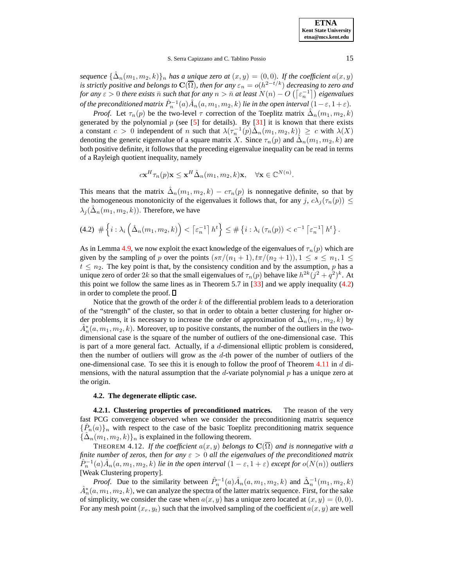**ETNA Kent State University etna@mcs.kent.edu**

### S. Serra Capizzano and C. Tablino Possio 15

 $seq$ uence  $\{\hat{\Delta}_n(m_1, m_2, k)\}_n$  has a unique zero at  $(x, y) = (0, 0)$ . If the coefficient  $a(x, y)$ *is strictly positive and belongs to*  $\mathbf{C}(\overline{\Omega})$ , *then for any*  $\varepsilon_n = o(h^{2-t/k})$  *decreasing to zero and*  $f$ or any  $\varepsilon > 0$  there exists  $\bar{n}$  such that  $f$ or any  $n > \bar{n}$  at least  $N(n) - O\left(\left\lceil \varepsilon_n^{-1} \right\rceil\right)$  eigenvalues of the preconditioned matrix  $\hat{P}_n^{-1}(a)\hat{A}_n(a,m_1,m_2,k)$  lie in the open interval  $(1-\varepsilon,1+\varepsilon)$ .

*Proof.* Let  $\tau_n(p)$  be the two-level  $\tau$  correction of the Toeplitz matrix  $\hat{\Delta}_n(m_1, m_2, k)$ generated by the polynomial  $p$  (see [\[5\]](#page-20-23) for details). By [\[31\]](#page-20-12) it is known that there exists a constant  $c > 0$  independent of n such that  $\lambda(\tau_n^{-1}(p)\hat{\Delta}_n(m_1, m_2, k)) \geq c$  with  $\lambda(X)$ denoting the generic eigenvalue of a square matrix X. Since  $\tau_n(p)$  and  $\hat{\Delta}_n(m_1, m_2, k)$  are both positive definite, it follows that the preceding eigenvalue inequality can be read in terms of a Rayleigh quotient inequality, namely

$$
c\mathbf{x}^H\tau_n(p)\mathbf{x} \le \mathbf{x}^H\hat{\Delta}_n(m_1, m_2, k)\mathbf{x}, \quad \forall \mathbf{x} \in \mathbb{C}^{N(n)}.
$$

This means that the matrix  $\hat{\Delta}_n(m_1, m_2, k) - c\tau_n(p)$  is nonnegative definite, so that by the homogeneous monotonicity of the eigenvalues it follows that, for any j,  $c\lambda_i(\tau_n(p)) \leq$  $\lambda_j(\hat{\Delta}_n(m_1, m_2, k))$ . Therefore, we have

<span id="page-14-0"></span>
$$
(4.2) \# \left\{ i : \lambda_i \left( \hat{\Delta}_n(m_1, m_2, k) \right) < \left\lceil \varepsilon_n^{-1} \right\rceil h^t \right\} \leq \# \left\{ i : \lambda_i \left( \tau_n(p) \right) < c^{-1} \left\lceil \varepsilon_n^{-1} \right\rceil h^t \right\}.
$$

As in Lemma [4.9,](#page-13-1) we now exploit the exact knowledge of the eigenvalues of  $\tau_n(p)$  which are given by the sampling of p over the points  $(s\pi/(n_1+1),t\pi/(n_2+1)), 1 \leq s \leq n_1, 1 \leq$  $t \leq n_2$ . The key point is that, by the consistency condition and by the assumption, p has a unique zero of order 2k so that the small eigenvalues of  $\tau_n(p)$  behave like  $h^{2k}(j^2 + q^2)^k$ . At this point we follow the same lines as in Theorem 5.7 in  $[33]$  and we apply inequality [\(4.2\)](#page-14-0) in order to complete the proof.  $\square$ 

Notice that the growth of the order  $k$  of the differential problem leads to a deterioration of the "strength" of the cluster, so that in order to obtain a better clustering for higher order problems, it is necessary to increase the order of approximation of  $\mathring{\Delta}_n(m_1, m_2, k)$  by  $\hat{A}_n^*(a, m_1, m_2, k)$ . Moreover, up to positive constants, the number of the outliers in the twodimensional case is the square of the number of outliers of the one-dimensional case. This is part of a more general fact. Actually, if a d-dimensional elliptic problem is considered, then the number of outliers will grow as the d-th power of the number of outliers of the one-dimensional case. To see this it is enough to follow the proof of Theorem  $4.11$  in d dimensions, with the natural assumption that the d-variate polynomial  $p$  has a unique zero at the origin.

#### <span id="page-14-1"></span>**4.2. The degenerate elliptic case.**

**4.2.1. Clustering properties of preconditioned matrices.** The reason of the very fast PCG convergence observed when we consider the preconditioning matrix sequence  $\{\hat{P}_n(a)\}_n$  with respect to the case of the basic Toeplitz preconditioning matrix sequence  $\{\hat{\Delta}_n(m_1, m_2, k)\}_n$  is explained in the following theorem.

THEOREM 4.12. If the coefficient  $a(x, y)$  belongs to  $\mathbb{C}(\overline{\Omega})$  and is nonnegative with a *finite number* of *zeros, then for any*  $\varepsilon > 0$  *all the eigenvalues* of *the preconditioned matrix*  $\hat{P}_n^{-1}(a)\hat{A}_n(a, m_1, m_2, k)$  *lie in the open interval*  $(1 - \varepsilon, 1 + \varepsilon)$  *except for*  $o(N(n))$  *outliers* [Weak Clustering property]*.*

*Proof.* Due to the similarity between  $\hat{P}_n^{-1}(a)\hat{A}_n(a, m_1, m_2, k)$  and  $\hat{\Delta}_n^{-1}(m_1, m_2, k)$  $\hat{A}_n^*(a, m_1, m_2, k)$ , we can analyze the spectra of the latter matrix sequence. First, for the sake of simplicity, we consider the case when  $a(x, y)$  has a unique zero located at  $(x, y) = (0, 0)$ . For any mesh point  $(x_r, y_t)$  such that the involved sampling of the coefficient  $a(x, y)$  are well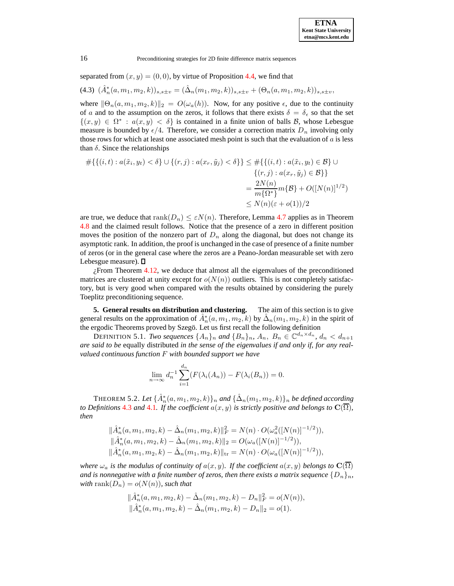separated from  $(x, y) = (0, 0)$ , by virtue of Proposition [4.4,](#page-9-0) we find that

(4.3)  $(\hat{A}_n^*(a, m_1, m_2, k))_{s, s \pm v} = (\hat{\Delta}_n(m_1, m_2, k))_{s, s \pm v} + (\Theta_n(a, m_1, m_2, k))_{s, s \pm v},$ 

where  $\|\Theta_n(a, m_1, m_2, k)\|_2 = O(\omega_a(h))$ . Now, for any positive  $\epsilon$ , due to the continuity of a and to the assumption on the zeros, it follows that there exists  $\delta = \delta_{\epsilon}$  so that the set  $\{(x, y) \in \Omega^* : a(x, y) < \delta\}$  is contained in a finite union of balls B, whose Lebesgue measure is bounded by  $\epsilon/4$ . Therefore, we consider a correction matrix  $D_n$  involving only those rows for which at least one associated mesh point is such that the evaluation of  $a$  is less than  $\delta$ . Since the relationships

$$
\#\{\{(i,t): a(\tilde{x}_i, y_t) < \delta\} \cup \{(r,j): a(x_r, \tilde{y}_j) < \delta\}\} \le \#\{\{(i,t): a(\tilde{x}_i, y_t) \in \mathcal{B}\} \cup \{\{r,j}: a(x_r, \tilde{y}_j) \in \mathcal{B}\}\}\
$$
\n
$$
= \frac{2N(n)}{m\{\Omega^*\}} m\{\mathcal{B}\} + O([N(n)]^{1/2})
$$
\n
$$
\le N(n)(\varepsilon + o(1))/2
$$

are true, we deduce that  $rank(D_n) \leq \varepsilon N(n)$ . Therefore, Lemma [4.7](#page-12-0) applies as in Theorem [4.8](#page-12-1) and the claimed result follows. Notice that the presence of a zero in different position moves the position of the nonzero part of  $D_n$  along the diagonal, but does not change its asymptotic rank. In addition, the proof is unchanged in the case of presence of a finite number of zeros (or in the general case where the zeros are a Peano-Jordan measurable set with zero Lebesgue measure).  $\Box$ 

 $i$ From Theorem [4.12,](#page-14-1) we deduce that almost all the eigenvalues of the preconditioned matrices are clustered at unity except for  $o(N(n))$  outliers. This is not completely satisfactory, but is very good when compared with the results obtained by considering the purely Toeplitz preconditioning sequence.

<span id="page-15-0"></span>**5. General results on distribution and clustering.** The aim of this section is to give general results on the approximation of  $\hat{A}_n^*(a, m_1, m_2, k)$  by  $\hat{\Delta}_n(m_1, m_2, k)$  in the spirit of the ergodic Theorems proved by Szegö. Let us first recall the following definition

DEFINITION 5.1. *Two sequences*  $\{A_n\}_n$  and  $\{B_n\}_n$ ,  $A_n$ ,  $B_n \in \mathbb{C}^{d_n \times d_n}$ ,  $d_n < d_{n+1}$ *are said to be* equally distributed *in the sense of the eigenvalues if and only if, for any realvalued continuous function* F *with bounded support we have*

<span id="page-15-1"></span>
$$
\lim_{n \to \infty} d_n^{-1} \sum_{i=1}^{d_n} (F(\lambda_i(A_n)) - F(\lambda_i(B_n)) = 0.
$$

THEOREM 5.2. Let  $\{\hat{A}_n^*(a, m_1, m_2, k)\}_n$  and  $\{\hat{\Delta}_n(m_1, m_2, k)\}_n$  be defined according *to Definitions* [4.3](#page-9-1) *and* [4.1](#page-8-1)*. If* the *coefficient*  $a(x, y)$  *is strictly positive and belongs to*  $\mathbf{C}(\overline{\Omega})$ *, then*

$$
\begin{aligned}\n\|\hat{A}_n^*(a, m_1, m_2, k) - \hat{\Delta}_n(m_1, m_2, k)\|_F^2 &= N(n) \cdot O(\omega_a^2([N(n)]^{-1/2})), \\
\|\hat{A}_n^*(a, m_1, m_2, k) - \hat{\Delta}_n(m_1, m_2, k)\|_2 &= O(\omega_a([N(n)]^{-1/2})), \\
\|\hat{A}_n^*(a, m_1, m_2, k) - \hat{\Delta}_n(m_1, m_2, k)\|_{\text{tr}} &= N(n) \cdot O(\omega_a([N(n)]^{-1/2})),\n\end{aligned}
$$

*where*  $\omega_a$  *is the modulus of continuity of*  $a(x, y)$ *. If the coefficient*  $a(x, y)$  *belongs to*  $\mathbb{C}(\overline{\Omega})$ *and* is nonnegative with a finite number of zeros, then there exists a matrix sequence  $\{D_n\}_n$ , *with* rank $(D_n) = o(N(n))$ *, such that* 

$$
\begin{aligned} &\|\hat{A}_n^*(a, m_1, m_2, k) - \hat{\Delta}_n(m_1, m_2, k) - D_n\|_F^2 = o(N(n)),\\ &\|\hat{A}_n^*(a, m_1, m_2, k) - \hat{\Delta}_n(m_1, m_2, k) - D_n\|_2 = o(1). \end{aligned}
$$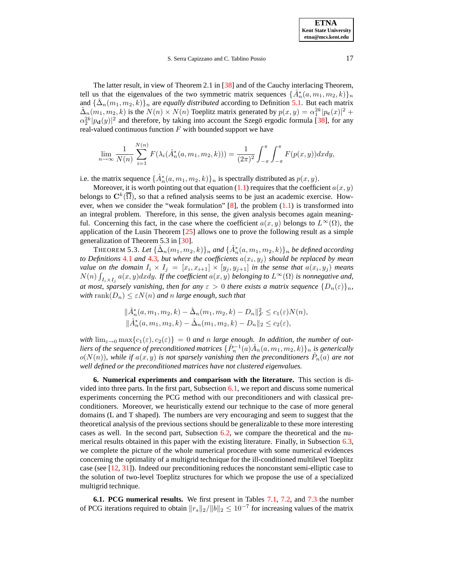The latter result, in view of Theorem 2.1 in [\[38\]](#page-21-1) and of the Cauchy interlacing Theorem, tell us that the eigenvalues of the two symmetric matrix sequences  $\{\hat{A}_n^*(a, m_1, m_2, k)\}_n$ and  $\{\hat{\Delta}_n(m_1, m_2, k)\}_n$  are *equally distributed* according to Definition [5.1.](#page-15-1) But each matrix  $\hat{\Delta}_n(m_1, m_2, k)$  is the  $N(n) \times N(n)$  Toeplitz matrix generated by  $p(x, y) = \alpha_1^{2k} |p_c(x)|^2 +$  $\alpha_2^{2k} |p_d(y)|^2$  and therefore, by taking into account the Szegö ergodic formula [\[38\]](#page-21-1), for any real-valued continuous function  $F$  with bounded support we have

$$
\lim_{n \to \infty} \frac{1}{N(n)} \sum_{i=1}^{N(n)} F(\lambda_i(\hat{A}_n^*(a, m_1, m_2, k))) = \frac{1}{(2\pi)^2} \int_{-\pi}^{\pi} \int_{-\pi}^{\pi} F(p(x, y)) dx dy,
$$

i.e. the matrix sequence  $\{\hat{A}_n^*(a, m_1, m_2, k)\}_n$  is spectrally distributed as  $p(x, y)$ .

Moreover, it is worth pointing out that equation [\(1.1\)](#page-1-1) requires that the coefficient  $a(x, y)$ belongs to  $\mathbf{C}^k(\overline{\Omega})$ , so that a refined analysis seems to be just an academic exercise. How-ever, when we consider the "weak formulation" [\[8\]](#page-20-24), the problem  $(1.1)$  is transformed into an integral problem. Therefore, in this sense, the given analysis becomes again meaningful. Concerning this fact, in the case where the coefficient  $a(x, y)$  belongs to  $L^{\infty}(\Omega)$ , the application of the Lusin Theorem  $[25]$  allows one to prove the following result as a simple generalization of Theorem 5.3 in [\[30\]](#page-20-2).

<span id="page-16-2"></span>THEOREM 5.3. Let  $\{\hat{\Delta}_n(m_1, m_2, k)\}_n$  and  $\{\hat{A}^*_n(a, m_1, m_2, k)\}_n$  be defined according *to* Definitions [4.1](#page-8-1) and [4.3](#page-9-1), but where the coefficients  $a(x_i, y_j)$  should be replaced by mean *value* on the domain  $I_i \times I_j = [x_i, x_{i+1}] \times [y_j, y_{j+1}]$  in the sense that  $a(x_i, y_j)$  means  $N(n)$   $\int_{I_i \times I_j} a(x, y) dx dy$ . If the coefficient  $a(x, y)$  belonging to  $L^{\infty}(\Omega)$  is nonnegative and, *at most, sparsely vanishing, then for any*  $\varepsilon > 0$  *there exists a matrix sequence*  $\{D_n(\varepsilon)\}_n$ , *with*  $\text{rank}(D_n) \leq \varepsilon N(n)$  *and n large enough, such that* 

$$
\begin{aligned} &\|\hat{A}_n^*(a, m_1, m_2, k) - \hat{\Delta}_n(m_1, m_2, k) - D_n\|_F^2 \le c_1(\varepsilon) N(n), \\ &\|\hat{A}_n^*(a, m_1, m_2, k) - \hat{\Delta}_n(m_1, m_2, k) - D_n\|_2 \le c_2(\varepsilon), \end{aligned}
$$

*with*  $\lim_{\varepsilon \to 0} \max\{c_1(\varepsilon), c_2(\varepsilon)\} = 0$  *and n large enough.* In *addition, the number of out* $liers$  *of the sequence of preconditioned matrices*  $\{\hat{P}_n^{-1}(a)\hat{A}_n(a,m_1,m_2,k)\}_n$  *is generically*  $o(N(n))$ , while if  $a(x, y)$  is not sparsely vanishing then the preconditioners  $\hat{P}_n(a)$  are not *well defined or the preconditioned matrices have not clustered eigenvalues.*

<span id="page-16-0"></span>**6. Numerical experiments and comparison with the literature.** This section is divided into three parts. In the first part, Subsection [6.1,](#page-16-1) we report and discuss some numerical experiments concerning the PCG method with our preconditioners and with classical preconditioners. Moreover, we heuristically extend our technique to the case of more general domains (L and T shaped). The numbers are very encouraging and seem to suggest that the theoretical analysis of the previous sections should be generalizable to these more interesting cases as well. In the second part, Subsection [6.2,](#page-18-0) we compare the theoretical and the numerical results obtained in this paper with the existing literature. Finally, in Subsection [6.3,](#page-19-4) we complete the picture of the whole numerical procedure with some numerical evidences concerning the optimality of a multigrid technique for the ill-conditioned multilevel Toeplitz case (see [\[12,](#page-20-9) [31\]](#page-20-12)). Indeed our preconditioning reduces the nonconstant semi-elliptic case to the solution of two-level Toeplitz structures for which we propose the use of a specialized multigrid technique.

<span id="page-16-1"></span>**6.1. PCG numerical results.** We first present in Tables [7.1,](#page-21-3) [7.2,](#page-22-0) and [7.3](#page-23-0) the number of PCG iterations required to obtain  $||r_s||_2/||b||_2 \leq 10^{-7}$  for increasing values of the matrix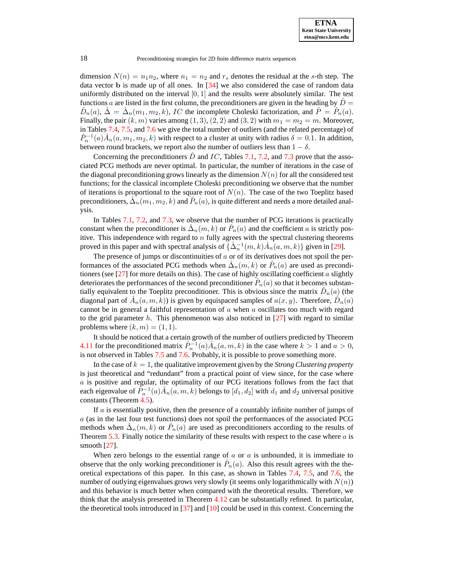dimension  $N(n) = n_1 n_2$ , where  $n_1 = n_2$  and  $r_s$  denotes the residual at the s-th step. The data vector  $\bf{b}$  is made up of all ones. In  $[34]$  we also considered the case of random data uniformly distributed on the interval  $[0, 1]$  and the results were absolutely similar. The test functions a are listed in the first column, the preconditioners are given in the heading by  $D =$  $\hat{D}_n(a)$ ,  $\hat{\Delta} = \hat{\Delta}_n(m_1, m_2, k)$ , *IC* the incomplete Choleski factorization, and  $\hat{P} = \hat{P}_n(a)$ . Finally, the pair  $(k, m)$  varies among  $(1, 3), (2, 2)$  and  $(3, 2)$  with  $m_1 = m_2 = m$ . Moreover, in Tables [7.4,](#page-24-0) [7.5,](#page-25-0) and [7.6](#page-26-0) we give the total number of outliers (and the related percentage) of  $\hat{P}_n^{-1}(a)\hat{A}_n(a, m_1, m_2, k)$  with respect to a cluster at unity with radius  $\delta = 0.1$ . In addition, between round brackets, we report also the number of outliers less than  $1 - \delta$ .

Concerning the preconditioners  $\ddot{D}$  and IC, Tables [7.1,](#page-21-3) [7.2,](#page-22-0) and [7.3](#page-23-0) prove that the associated PCG methods are never optimal. In particular, the number of iterations in the case of the diagonal preconditioning grows linearly as the dimension  $N(n)$  for all the considered test functions; for the classical incomplete Choleski preconditioning we observe that the number of iterations is proportional to the square root of  $N(n)$ . The case of the two Toeplitz based preconditioners,  $\hat{\Delta}_n(m_1,m_2,k)$  and  $\hat{P}_n(a)$ , is quite different and needs a more detailed analysis.

In Tables [7.1,](#page-21-3) [7.2,](#page-22-0) and [7.3,](#page-23-0) we observe that the number of PCG iterations is practically constant when the preconditioner is  $\hat{\Delta}_n(m,k)$  or  $\hat{P}_n(a)$  and the coefficient a is strictly positive. This independence with regard to  $n$  fully agrees with the spectral clustering theorems proved in this paper and with spectral analysis of  $\{\hat{\Delta}_n^{-1}(m,k)\hat{A}_n(a,m,k)\}\$  given in [\[29\]](#page-20-26).

The presence of jumps or discontinuities of  $a$  or of its derivatives does not spoil the performances of the associated PCG methods when  $\hat{\Delta}_n(m, k)$  or  $\hat{P}_n(a)$  are used as preconditioners (see  $[27]$  for more details on this). The case of highly oscillating coefficient a slightly deteriorates the performances of the second preconditioner  $\hat{P}_n(a)$  so that it becomes substantially equivalent to the Toeplitz preconditioner. This is obvious since the matrix  $\hat{D}_n(a)$  (the diagonal part of  $\hat{A}_n(a,m,\overline{k})$ ) is given by equispaced samples of  $a(x, y)$ . Therefore,  $\hat{D}_n(a)$ cannot be in general a faithful representation of  $a$  when  $a$  oscillates too much with regard to the grid parameter h. This phenomenon was also noticed in  $[27]$  with regard to similar problems where  $(k, m) = (1, 1)$ .

It should be noticed that a certain growth of the number of outliers predicted by Theorem [4.11](#page-13-2) for the preconditioned matrix  $\hat{P}_n^{-1}(a) \hat{A}_n(a, m, k)$  in the case where  $k > 1$  and  $a > 0$ , is not observed in Tables [7.5](#page-25-0) and [7.6.](#page-26-0) Probably, it is possible to prove something more.

In the case of  $k = 1$ , the qualitative improvement given by the *Strong Clustering property* is just theoretical and "redundant" from a practical point of view since, for the case where a is positive and regular, the optimality of our PCG iterations follows from the fact that each eigenvalue of  $\hat{P}_n^{-1}(a)\hat{A}_n(a,m,k)$  belongs to  $[d_1, d_2]$  with  $d_1$  and  $d_2$  universal positive constants (Theorem [4.5\)](#page-11-0).

If  $\alpha$  is essentially positive, then the presence of a countably infinite number of jumps of a (as in the last four test functions) does not spoil the performances of the associated PCG methods when  $\hat{\Delta}_n(m,k)$  or  $\hat{P}_n(a)$  are used as preconditioners according to the results of Theorem  $5.3$ . Finally notice the similarity of these results with respect to the case where  $a$  is smooth [\[27\]](#page-20-1).

When zero belongs to the essential range of  $a$  or  $a$  is unbounded, it is immediate to observe that the only working preconditioner is  $\hat{P}_n(a)$ . Also this result agrees with the theoretical expectations of this paper. In this case, as shown in Tables [7.4,](#page-24-0) [7.5,](#page-25-0) and [7.6,](#page-26-0) the number of outlying eigenvalues grows very slowly (it seems only logarithmically with  $N(n)$ ) and this behavior is much better when compared with the theoretical results. Therefore, we think that the analysis presented in Theorem [4.12](#page-14-1) can be substantially refined. In particular, the theoretical tools introduced in  $[37]$  and  $[10]$  could be used in this context. Concerning the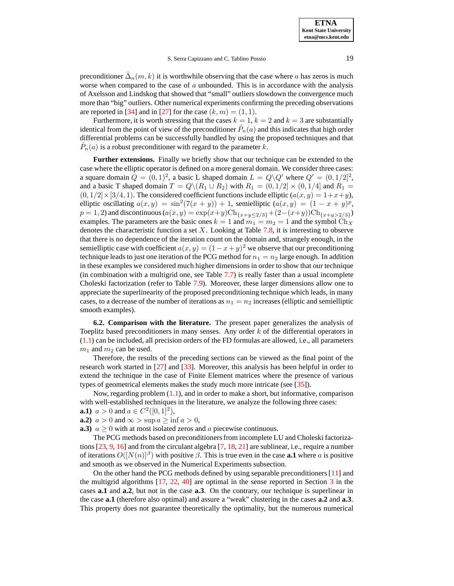preconditioner  $\hat{\Delta}_n(m,k)$  it is worthwhile observing that the case where a has zeros is much worse when compared to the case of  $a$  unbounded. This is in accordance with the analysis of Axelsson and Lindskog that showed that "small" outliers slowdown the convergence much more than "big" outliers. Other numerical experiments confirming the preceding observations are reported in [\[34\]](#page-20-14) and in [\[27\]](#page-20-1) for the case  $(k, m) = (1, 1)$ .

Furthermore, it is worth stressing that the cases  $k = 1$ ,  $k = 2$  and  $k = 3$  are substantially identical from the point of view of the preconditioner  $\hat{P}_n(a)$  and this indicates that high order differential problems can be successfully handled by using the proposed techniques and that  $\hat{P}_n(a)$  is a robust preconditioner with regard to the parameter k.

**Further extensions.** Finally we briefly show that our technique can be extended to the case where the elliptic operator is defined on a more general domain. We consider three cases: a square domain  $Q = (0, 1)^2$ , a basic L shaped domain  $L = Q \backslash Q'$  where  $Q' = (0, 1/2]^2$ , and a basic T shaped domain  $T = Q \setminus (R_1 \cup R_2)$  with  $R_1 = (0, 1/2] \times (0, 1/4]$  and  $R_1 =$  $(0, 1/2] \times [3/4, 1)$ . The considered coefficient functions include elliptic  $(a(x, y) = 1+x+y)$ , elliptic oscillating  $a(x, y) = \sin^2(7(x + y)) + 1$ , semielliptic  $(a(x, y) = (1 - x + y)^p$ ,  $p = 1, 2$ ) and discontinuous ( $a(x, y) = \exp(x+y) \text{Ch}_{\{x+y \leq 2/3\}} + (2-(x+y)) \text{Ch}_{\{x+y > 2/3\}}$ ) examples. The parameters are the basic ones  $k = 1$  and  $m_1 = m_2 = 1$  and the symbol  $Ch_X$ denotes the characteristic function a set  $X$ . Looking at Table [7.8,](#page-27-0) it is interesting to observe that there is no dependence of the iteration count on the domain and, strangely enough, in the semielliptic case with coefficient  $a(x, y) = (1 - x + y)^2$  we observe that our preconditioning technique leads to just one iteration of the PCG method for  $n_1 = n_2$  large enough. In addition in these examples we considered much higher dimensions in order to show that our technique (in combination with a multigrid one, see Table [7.7\)](#page-26-1) is really faster than a usual incomplete Choleski factorization (refer to Table [7.9\)](#page-28-0). Moreover, these larger dimensions allow one to appreciate the superlinearity of the proposed preconditioning technique which leads, in many cases, to a decrease of the number of iterations as  $n_1 = n_2$  increases (elliptic and semielliptic smooth examples).

<span id="page-18-0"></span>**6.2. Comparison with the literature.** The present paper generalizes the analysis of Toeplitz based preconditioners in many senses. Any order k of the differential operators in [\(1.1\)](#page-1-1) can be included, all precision orders of the FD formulas are allowed, i.e., all parameters  $m_1$  and  $m_2$  can be used.

Therefore, the results of the preceding sections can be viewed as the final point of the research work started in [\[27\]](#page-20-1) and [\[33\]](#page-20-3). Moreover, this analysis has been helpful in order to extend the technique in the case of Finite Element matrices where the presence of various types of geometrical elements makes the study much more intricate (see [\[35\]](#page-20-0)).

Now, regarding problem  $(1.1)$ , and in order to make a short, but informative, comparison with well-established techniques in the literature, we analyze the following three cases:

- **a.1**)  $a > 0$  and  $a \in C^2([0, 1]^2)$ ,
- **a.2)**  $a > 0$  and  $\infty > \sup a > \inf a > 0$ ,

**a.3)**  $a \geq 0$  with at most isolated zeros and a piecewise continuous.

The PCG methods based on preconditionersfrom incomplete LU and Choleski factorizations  $[23, 9, 16]$  $[23, 9, 16]$  $[23, 9, 16]$  $[23, 9, 16]$  $[23, 9, 16]$  and from the circulant algebra  $[7, 18, 21]$  $[7, 18, 21]$  $[7, 18, 21]$  $[7, 18, 21]$  $[7, 18, 21]$  are sublinear, i.e., require a number of iterations  $O([N(n)]^{\beta})$  with positive  $\beta$ . This is true even in the case **a.1** where a is positive and smooth as we observed in the Numerical Experiments subsection.

On the other hand the PCG methods defined by using separable preconditioners[\[11\]](#page-20-31) and the multigrid algorithms [\[17,](#page-20-17) [22,](#page-20-32) [40\]](#page-21-4) are optimal in the sense reported in Section [3](#page-5-0) in the cases **a.1** and **a.2**, but not in the case **a.3**. On the contrary, our technique is superlinear in the case **a.1** (therefore also optimal) and assure a "weak" clustering in the cases **a.2** and **a.3**. This property does not guarantee theoretically the optimality, but the numerous numerical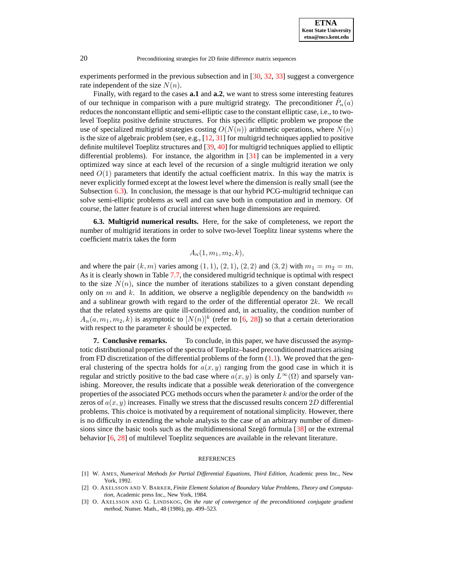**ETNA Kent State University etna@mcs.kent.edu**

20 Preconditioning strategies for 2D finite difference matrix sequences

experiments performed in the previous subsection and in [\[30,](#page-20-2) [32,](#page-20-13) [33\]](#page-20-3) suggest a convergence rate independent of the size  $N(n)$ .

Finally, with regard to the cases **a.1** and **a.2**, we want to stress some interesting features of our technique in comparison with a pure multigrid strategy. The preconditioner  $\hat{P}_n(a)$ reducesthe nonconstant elliptic and semi-elliptic case to the constant elliptic case, i.e., to twolevel Toeplitz positive definite structures. For this specific elliptic problem we propose the use of specialized multigrid strategies costing  $O(N(n))$  arithmetic operations, where  $N(n)$ is the size of algebraic problem (see, e.g.,  $[12, 31]$  $[12, 31]$  $[12, 31]$  for multigrid techniques applied to positive definite multilevel Toeplitz structures and [\[39,](#page-21-5) [40\]](#page-21-4) for multigrid techniques applied to elliptic differential problems). For instance, the algorithm in [\[31\]](#page-20-12) can be implemented in a very optimized way since at each level of the recursion of a single multigrid iteration we only need  $O(1)$  parameters that identify the actual coefficient matrix. In this way the matrix is never explicitly formed except at the lowest level where the dimension is really small (see the Subsection [6.3\)](#page-19-4). In conclusion, the message is that our hybrid PCG-multigrid technique can solve semi-elliptic problems as well and can save both in computation and in memory. Of course, the latter feature is of crucial interest when huge dimensions are required.

<span id="page-19-4"></span>**6.3. Multigrid numerical results.** Here, for the sake of completeness, we report the number of multigrid iterations in order to solve two-level Toeplitz linear systems where the coefficient matrix takes the form

 $A_n(1, m_1, m_2, k),$ 

and where the pair  $(k, m)$  varies among  $(1, 1), (2, 1), (2, 2)$  and  $(3, 2)$  with  $m_1 = m_2 = m$ . As it is clearly shown in Table [7.7,](#page-26-1) the considered multigrid technique is optimal with respect to the size  $N(n)$ , since the number of iterations stabilizes to a given constant depending only on m and k. In addition, we observe a negligible dependency on the bandwidth m and a sublinear growth with regard to the order of the differential operator  $2k$ . We recall that the related systems are quite ill-conditioned and, in actuality, the condition number of  $A_n(a, m_1, m_2, k)$  is asymptotic to  $[N(n)]^k$  (refer to [\[6,](#page-20-20) [28\]](#page-20-21)) so that a certain deterioration with respect to the parameter  $k$  should be expected.

<span id="page-19-3"></span>**7. Conclusive remarks.** To conclude, in this paper, we have discussed the asymptotic distributional properties of the spectra of Toeplitz–based preconditioned matrices arising from FD discretization of the differential problems of the form  $(1.1)$ . We proved that the general clustering of the spectra holds for  $a(x, y)$  ranging from the good case in which it is regular and strictly positive to the bad case where  $a(x, y)$  is only  $L^{\infty}(\Omega)$  and sparsely vanishing. Moreover, the results indicate that a possible weak deterioration of the convergence properties of the associated PCG methods occurs when the parameter  $k$  and/or the order of the zeros of  $a(x, y)$  increases. Finally we stress that the discussed results concern 2D differential problems. This choice is motivated by a requirement of notational simplicity. However, there is no difficulty in extending the whole analysis to the case of an arbitrary number of dimensions since the basic tools such as the multidimensional Szegö formula  $\lceil 38 \rceil$  or the extremal behavior [\[6,](#page-20-20) [28\]](#page-20-21) of multilevel Toeplitz sequences are available in the relevant literature.

### **REFERENCES**

- <span id="page-19-0"></span>[1] W. AMES, *Numerical Methods for Partial Differential Equations*, *Third Edition*, Academic press Inc., New York, 1992.
- <span id="page-19-2"></span>[2] O. AXELSSON AND V. BARKER, *Finite Element Solution of Boundary Value Problems*, *Theory and Computation*, Academic press Inc., New York, 1984.
- <span id="page-19-1"></span>[3] O. AXELSSON AND G. LINDSKOG, *On the rate of convergence of the preconditioned conjugate gradient method*, Numer. Math., 48 (1986), pp. 499–523.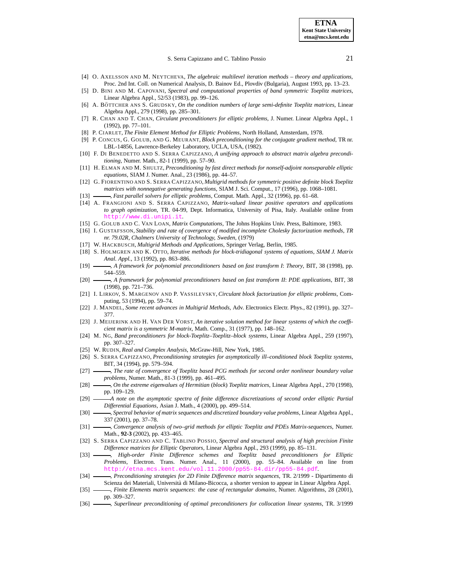- <span id="page-20-15"></span>[4] O. AXELSSON AND M. NEYTCHEVA, *The algebraic multilevel iteration methods – theory and applications*, Proc. 2nd Int. Coll. on Numerical Analysis, D. Bainov Ed., Plovdiv (Bulgaria), August 1993, pp. 13–23.
- <span id="page-20-23"></span><span id="page-20-20"></span>[5] D. BINI AND M. CAPOVANI, *Spectral and computational properties of band symmetric Toeplitz matrices*, Linear Algebra Appl., 52/53 (1983), pp. 99–126.
- [6] A. BO¨ TTCHER ANS S. GRUDSKY, *On the condition numbers of large semi-definite Toeplitz matrices*, Linear Algebra Appl., 279 (1998), pp. 285–301.
- <span id="page-20-4"></span>[7] R. CHAN AND T. CHAN, *Circulant preconditioners for elliptic problems*, J. Numer. Linear Algebra Appl., 1 (1992), pp. 77–101.
- <span id="page-20-24"></span>[8] P. CIARLET, *The Finite Element Method for Elliptic Problems*, North Holland, Amsterdam, 1978.
- <span id="page-20-28"></span>[9] P. CONCUS, G. GOLUB, AND G. MEURANT, *Block preconditioning for the conjugate gradient method*, TR nr. LBL-14856, Lawrence-Berkeley Laboratory, UCLA, USA, (1982).
- <span id="page-20-18"></span>[10] F. DI BENEDETTO AND S. SERRA CAPIZZANO, *A unifying approach to abstract matrix algebra preconditioning*, Numer. Math., 82-1 (1999), pp. 57–90.
- <span id="page-20-31"></span>[11] H. ELMAN AND M. SHULTZ, *Preconditioning by fast direct methods for nonself-adjoint nonseparable elliptic equations*, SIAM J. Numer. Anal., 23 (1986), pp. 44–57.
- <span id="page-20-16"></span><span id="page-20-9"></span>[12] G. FIORENTINO AND S. SERRA CAPIZZANO, *Multigrid methods for symmetric positive definite block Toeplitz matrices with nonnegative generating functions*, SIAM J. Sci. Comput., 17 (1996), pp. 1068–1081.
- <span id="page-20-22"></span>[13] , *Fast parallel solvers for elliptic problems*, Comput. Math. Appl., 32 (1996), pp. 61–68.
- [14] A. FRANGIONI AND S. SERRA CAPIZZANO, *Matrix-valued linear positive operators and applications to graph optimization*, TR. 04-99, Dept. Informatica, University of Pisa, Italy. Available online from <http://www.di.unipi.it>.
- <span id="page-20-29"></span><span id="page-20-8"></span>[15] G. GOLUB AND C. VAN LOAN, *Matrix Computations*, The Johns Hopkins Univ. Press, Baltimore, 1983.
- [16] I. GUSTAFSSON, *Stability and rate of covergence of modified incomplete Cholesky factorization methods*, *TR nr. 79.02R, Chalmers University of Technology, Sweden,* (1979)
- <span id="page-20-30"></span><span id="page-20-17"></span>[17] W. HACKBUSCH, *Multigrid Methods and Applications*, Springer Verlag, Berlin, 1985.
- [18] S. HOLMGREN AND K. OTTO, *Iterative methods for block-tridiagonal systems of equations*, *SIAM J. Matrix Anal. Appl.*, 13 (1992), pp. 863–886.
- <span id="page-20-6"></span><span id="page-20-5"></span>[19] , *A framework for polynomial preconditioners based on fast transform I*: *Theory*, BIT, 38 (1998), pp. 544–559.
- [20] , *A framework for polynomial preconditioners based on fast transform II*: *PDE applications*, BIT, 38 (1998), pp. 721–736.
- <span id="page-20-7"></span>[21] I. LIRKOV, S. MARGENOV AND P. VASSILEVSKY, *Circulant block factorization for elliptic problems*, Computing, 53 (1994), pp. 59–74.
- <span id="page-20-32"></span><span id="page-20-27"></span>[22] J. MANDEL, *Some recent advances in Multigrid Methods*, Adv. Electronics Electr. Phys., 82 (1991), pp. 327– 377.
- [23] J. MEIJERINK AND H. VAN DER VORST, *An iterative solution method for linear systems of which the coefficient matrix is a symmetric M-matrix*, Math. Comp., 31 (1977), pp. 148–162.
- <span id="page-20-11"></span>[24] M. NG, *Band preconditioners for block-Toeplitz*–*Toeplitz*–*block systems*, Linear Algebra Appl., 259 (1997), pp. 307–327.
- <span id="page-20-25"></span><span id="page-20-10"></span>[25] W. RUDIN, *Real and Complex Analysis*, McGraw-Hill, New York, 1985.
- [26] S. SERRA CAPIZZANO, *Preconditioning strategies for asymptotically ill*–*conditioned block Toeplitz systems*, BIT, 34 (1994), pp. 579–594.
- <span id="page-20-21"></span><span id="page-20-1"></span>[27] , *The rate of convergence of Toeplitz based PCG methods for second order nonlinear boundary value problems*, Numer. Math., 81-3 (1999), pp. 461–495.
- [28] , *On the extreme eigenvalues of Hermitian* (*block*) *Toeplitz matrices*, Linear Algebra Appl., 270 (1998), pp. 109–129.
- <span id="page-20-26"></span>[29] *A note on the asymptotic spectra of finite difference discretizations of second order elliptic Partial Differential Equations*, Asian J. Math., 4 (2000), pp. 499–514.
- <span id="page-20-2"></span>[30] , *Spectral behavior of matrix sequences and discretized boundary value problems*, Linear Algebra Appl., 337 (2001), pp. 37–78.
- <span id="page-20-12"></span>[31] , *Convergence analysis of two*–*grid methods for elliptic Toeplitz and PDEs Matrix-sequences*, Numer. Math., **92-3** (2002), pp. 433–465.
- <span id="page-20-13"></span>[32] S. SERRA CAPIZZANO AND C. TABLINO POSSIO, *Spectral and structural analysis of high precision Finite Difference matrices for Elliptic Operators*, Linear Algebra Appl., 293 (1999), pp. 85–131.
- <span id="page-20-3"></span>[33] , *High*-*order Finite Difference schemes and Toeplitz based preconditioners for Elliptic Problems*, Electron. Trans. Numer. Anal., 11 (2000), pp. 55–84. Available on line from http://etna.mcs.kent.edu/vol.11.2000/pp55-84.dir/pp
- <span id="page-20-14"></span>[34] , *Preconditioning strategies for 2D Finite Difference matrix sequences*, TR. 2/1999 - Dipartimento di Scienza dei Materiali, Universita` di Milano-Bicocca, a shorter version to appear in Linear Algebra Appl.
- <span id="page-20-0"></span>[35] , *Finite Elements matrix sequences*: *the case of rectangular domains*, Numer. Algorithms, 28 (2001), pp. 309–327.
- <span id="page-20-19"></span>[36] , *Superlinear preconditioning of optimal preconditioners for collocation linear systems*, TR. 3/1999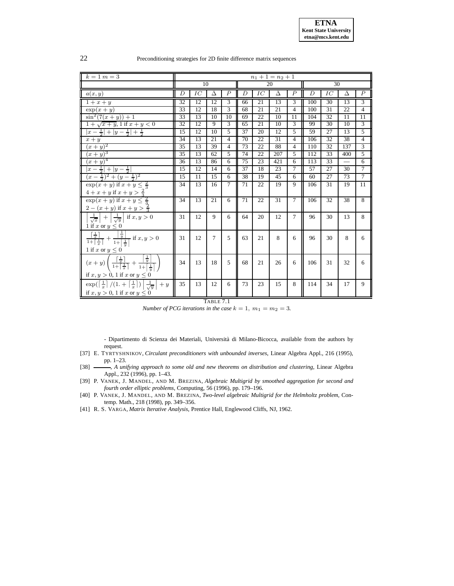| 22 | Preconditioning strategies for 2D finite difference matrix sequences |  |  |  |
|----|----------------------------------------------------------------------|--|--|--|
|    |                                                                      |  |  |  |

| $k = 1$ $m = 3$                                                                                                                                                                                                       |                 |                 |                 |                |    |                 | $n_1 + 1 = n_2 + 1$ |                          |     |                 |          |                 |
|-----------------------------------------------------------------------------------------------------------------------------------------------------------------------------------------------------------------------|-----------------|-----------------|-----------------|----------------|----|-----------------|---------------------|--------------------------|-----|-----------------|----------|-----------------|
|                                                                                                                                                                                                                       |                 | 10              |                 |                | 20 |                 |                     |                          |     | $\overline{30}$ |          |                 |
| a(x, y)                                                                                                                                                                                                               | Ď               | IC              | Â               | $\hat{P}$      | Ď  | IC              | Â                   | $\hat{P}$                | Ô   | IC              | Â        | $\hat{P}$       |
| $1+x+y$                                                                                                                                                                                                               | 32              | $\overline{12}$ | $\overline{12}$ | $\overline{3}$ | 66 | 21              | 13                  | $\overline{3}$           | 100 | 30              | 13       | $\overline{3}$  |
| $\exp(x+y)$                                                                                                                                                                                                           | 33              | 12              | 18              | $\overline{3}$ | 68 | 21              | 21                  | $\overline{4}$           | 100 | $\overline{31}$ | 22       | $\overline{4}$  |
| $\sin^2(7(x+y))+1$                                                                                                                                                                                                    | 33              | 13              | 10              | 10             | 69 | $\overline{22}$ | 10                  | 11                       | 104 | 32              | 11       | $\overline{11}$ |
| $1 + \sqrt{x+y}$ , 1 if $x + y < 0$                                                                                                                                                                                   | 32              | 12              | 9               | $\overline{3}$ | 65 | 21              | 10                  | 3                        | 99  | $\overline{30}$ | 10       | $\overline{3}$  |
| $ x-\frac{1}{2} + y-\frac{1}{2} +\frac{1}{2}$                                                                                                                                                                         | 15              | 12              | 10              | 5              | 37 | 20              | 12                  | $\overline{\phantom{0}}$ | 59  | 27              | 13       | 5               |
| $x + y$                                                                                                                                                                                                               | 34              | 13              | 21              | $\overline{4}$ | 70 | $\overline{22}$ | 31                  | $\overline{4}$           | 106 | $\overline{32}$ | 38       | $\overline{4}$  |
| $(x+y)^2$                                                                                                                                                                                                             | $\overline{35}$ | 13              | 39              | 4              | 73 | 22              | 88                  | 4                        | 110 | $\overline{32}$ | 137      | $\overline{3}$  |
| $(x+y)^3$                                                                                                                                                                                                             | 35              | 13              | 62              | 5              | 74 | 22              | 207                 | 5                        | 112 | 33              | 400      | $\overline{5}$  |
| $(x+y)^4$                                                                                                                                                                                                             | 36              | 13              | 86              | 6              | 75 | 23              | 421                 | 6                        | 113 | 33              | $\equiv$ | 6               |
| $ x-\frac{1}{2} + y-\frac{1}{2} $                                                                                                                                                                                     | 15              | 12              | 14              | 6              | 37 | 18              | 23                  | $\tau$                   | 57  | 27              | 30       | $7\phantom{.0}$ |
| $\frac{1}{2}(x-\frac{1}{2})^2+(y-\frac{1}{2})^2$                                                                                                                                                                      | 15              | 11              | 15              | 6              | 38 | 19              | 45                  | 6                        | 60  | 27              | 73       | $\overline{7}$  |
| $\exp(x+y)$ if $x+y\leq \frac{2}{3}$<br>$4+x+y$ if $x+y>\frac{2}{3}$                                                                                                                                                  | 34              | 13              | 16              | 7              | 71 | 22              | 19                  | 9                        | 106 | 31              | 19       | 11              |
| $\exp(x+y)$ if $x+y \leq \frac{2}{3}$<br>$2 - (x + y)$ if $x + y > \frac{2}{3}$                                                                                                                                       | 34              | 13              | 21              | 6              | 71 | 22              | 31                  | $\tau$                   | 106 | 32              | 38       | 8               |
| $\frac{1}{\sqrt{x}}$ + $\frac{1}{\sqrt{y}}$ if $x, y > 0$<br>1 if x or $y \leq 0$                                                                                                                                     | 31              | 12              | $\mathbf{Q}$    | 6              | 64 | 20              | 12                  | $\tau$                   | 96  | 30              | 13       | 8               |
| $\frac{\left\lceil \frac{1}{x} \right\rceil}{1 + \left\lceil \frac{1}{x} \right\rceil} + \frac{\left\lceil \frac{1}{y} \right\rceil}{1 + \left\lceil \frac{1}{y} \right\rceil}$ if $x, y > 0$<br>1 if x or $y \leq 0$ | 31              | 12              | $\tau$          | 5              | 63 | 21              | 8                   | 6                        | 96  | 30              | 8        | 6               |
| $\overline{(x+y)\left(\frac{\lceil\frac{1}{x}\rceil}{1+\lceil\frac{1}{x}\rceil}+\frac{\lceil\frac{1}{y}\rceil}{1+\lceil\frac{1}{y}\rceil}\right)}$<br>if $x, y > 0$ , 1 if x or $y \le 0$                             | 34              | 13              | 18              | 5              | 68 | 21              | 26                  | 6                        | 106 | 31              | 32       | 6               |
| $\exp(\left[\frac{1}{x}\right]/(1+\left[\frac{1}{x}\right])\left \frac{1}{\sqrt{y}}\right +y)$<br>if $x, y > 0$ , 1 if $x$ or $y < 0$                                                                                 | 35              | 13              | 12              | 6              | 73 | 23              | 15                  | 8                        | 114 | 34              | 17       | 9               |

## TABLE 7.1

*Number of PCG iterations in the case*  $k = 1$ ,  $m_1 = m_2 = 3$ .

<span id="page-21-3"></span>- Dipartimento di Scienza dei Materiali, Universita` di Milano-Bicocca, available from the authors by request.

- <span id="page-21-2"></span>[37] E. TYRTYSHNIKOV, *Circulant preconditioners with unbounded inverses*, Linear Algebra Appl., 216 (1995), pp. 1–23.
- <span id="page-21-1"></span>[38] , *A unifying approach to some old and new theorems on distribution and clustering*, Linear Algebra Appl., 232 (1996), pp. 1–43.
- <span id="page-21-5"></span>[39] P. VANEK, J. MANDEL, AND M. BREZINA, *Algebraic Multigrid by smoothed aggregation for second and fourth order elliptic problems*, Computing, 56 (1996), pp. 179–196.
- <span id="page-21-4"></span>[40] P. VANEK, J. MANDEL, AND M. BREZINA, *Two-level algebraic Multigrid for the Helmholtz problem*, Contemp. Math., 218 (1998), pp. 349–356.
- <span id="page-21-0"></span>[41] R. S. VARGA, *Matrix Iterative Analysis*, Prentice Hall, Englewood Cliffs, NJ, 1962.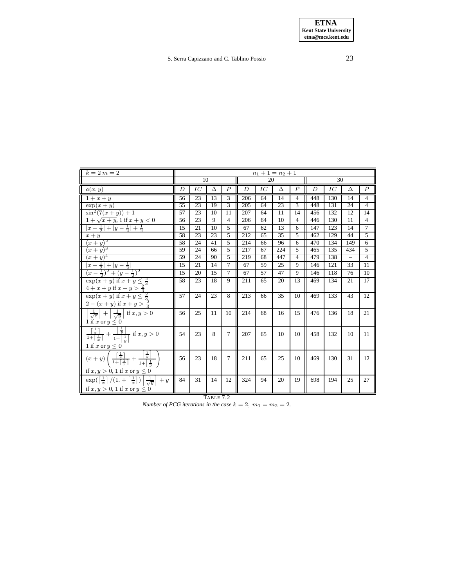| $k=2$ $m=2$                                                                                                                                                                                                                                | $n_1 + 1 = n_2 + 1$ |    |    |                         |     |    |                 |                |     |     |                 |                |  |
|--------------------------------------------------------------------------------------------------------------------------------------------------------------------------------------------------------------------------------------------|---------------------|----|----|-------------------------|-----|----|-----------------|----------------|-----|-----|-----------------|----------------|--|
|                                                                                                                                                                                                                                            |                     | 10 |    |                         |     | 20 |                 |                |     | 30  |                 |                |  |
| a(x,y)                                                                                                                                                                                                                                     | Ď                   | IC | Ä  | Ê                       | Ď   | IC | Â               | $\hat{P}$      | Ď   | IC  | Ä               | $\hat{P}$      |  |
| $1+x+y$                                                                                                                                                                                                                                    | 56                  | 23 | 13 | $\overline{\mathbf{3}}$ | 206 | 64 | $\overline{14}$ | $\overline{4}$ | 448 | 130 | $\overline{14}$ | $\overline{4}$ |  |
| $\exp(x+y)$                                                                                                                                                                                                                                | 55                  | 23 | 19 | 3                       | 205 | 64 | 23              | 3              | 448 | 131 | 24              | $\overline{4}$ |  |
| $\sin^2(7(x+y))+1$                                                                                                                                                                                                                         | 57                  | 23 | 10 | $\overline{11}$         | 207 | 64 | $\overline{11}$ | 14             | 456 | 132 | 12              | 14             |  |
| $1 + \sqrt{x + y}$ , 1 if $x + y < 0$                                                                                                                                                                                                      | 56                  | 23 | 9  | 4                       | 206 | 64 | 10              | 4              | 446 | 130 | 11              | $\overline{4}$ |  |
| $ x-\frac{1}{2} + y-\frac{1}{2} +\frac{1}{2}$                                                                                                                                                                                              | 15                  | 21 | 10 | 5                       | 67  | 62 | 13              | 6              | 147 | 123 | 14              | $\tau$         |  |
| $x + y$                                                                                                                                                                                                                                    | 58                  | 23 | 23 | 5                       | 212 | 65 | $\overline{35}$ | 5              | 462 | 129 | 44              | $\overline{5}$ |  |
| $(x+y)^2$                                                                                                                                                                                                                                  | 58                  | 24 | 41 | 5                       | 214 | 66 | 96              | 6              | 470 | 134 | 149             | $\overline{6}$ |  |
| $(x+y)^3$                                                                                                                                                                                                                                  | 59                  | 24 | 66 | 5                       | 217 | 67 | 224             | 5              | 465 | 135 | 434             | 5              |  |
| $(x+y)^4$                                                                                                                                                                                                                                  | 59                  | 24 | 90 | 5                       | 219 | 68 | 447             | $\overline{4}$ | 479 | 138 | $\overline{a}$  | $\overline{4}$ |  |
| $ x-\frac{1}{2} + y-\frac{1}{2} $                                                                                                                                                                                                          | 15                  | 21 | 14 | 7                       | 67  | 59 | 25              | 9              | 146 | 121 | 33              | 11             |  |
| $(x-\frac{1}{2})^2+(y-\frac{1}{2})^2$                                                                                                                                                                                                      | 15                  | 20 | 15 | $\tau$                  | 67  | 57 | 47              | 9              | 146 | 118 | 76              | 10             |  |
| $\exp(x+y)$ if $x+y \leq \frac{2}{3}$<br>$4+x+y$ if $x+y>\frac{2}{3}$                                                                                                                                                                      | 58                  | 23 | 18 | 9                       | 211 | 65 | 20              | 13             | 469 | 134 | 21              | 17             |  |
| $\exp(x+y)$ if $x+y\leq \frac{2}{3}$<br>$2 - (x + y)$ if $x + y > \frac{2}{3}$                                                                                                                                                             | 57                  | 24 | 23 | 8                       | 213 | 66 | 35              | 10             | 469 | 133 | 43              | 12             |  |
| $\frac{1}{\sqrt{x}}$ + $\frac{1}{\sqrt{y}}$ if $x, y > 0$<br>1 if x or $y \leq 0$                                                                                                                                                          | 56                  | 25 | 11 | 10                      | 214 | 68 | 16              | 15             | 476 | 136 | 18              | 21             |  |
| $\lceil \frac{1}{x} \rceil$<br>$\frac{\left\lceil \frac{1}{x}\right\rceil}{1+\left\lceil \frac{1}{x}\right\rceil}+\frac{\left\lceil \frac{1}{y}\right\rceil}{1+\left\lceil \frac{1}{y}\right\rceil}$ if $x,y>0$<br>$1$ if $x$ or $y\leq 0$ | 54                  | 23 | 8  | 7                       | 207 | 65 | 10              | 10             | 458 | 132 | 10              | 11             |  |
| $(x + y)$ $\left(\frac{\frac{1}{x}}{1 + \left[\frac{1}{x}\right]} + \frac{\frac{1}{y}}{1 + \left[\frac{1}{y}\right]} \right)$<br>if $x, y > 0$ , 1 if $x$ or $y \leq 0$                                                                    | 56                  | 23 | 18 | $\tau$                  | 211 | 65 | 25              | 10             | 469 | 130 | 31              | 12             |  |
| $\exp(\left[\frac{1}{x}\right]/(1+\left[\frac{1}{x}\right])\left \frac{1}{\sqrt{y}}\right +y)$<br>if $x, y > 0$ , 1 if $x$ or $y \leq 0$                                                                                                   | 84                  | 31 | 14 | 12                      | 324 | 94 | 20              | 19             | 698 | 194 | 25              | 27             |  |

TABLE 7.2

<span id="page-22-0"></span>*Number of PCG iterations in the case*  $k = 2$ ,  $m_1 = m_2 = 2$ .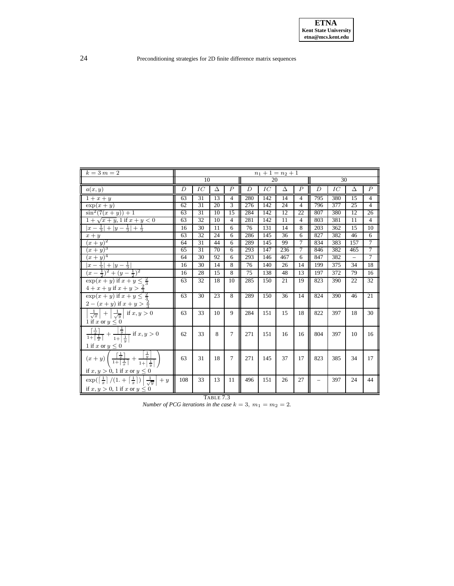| $k=3$ $m=2$                                                                                                                                                                                                                   |     |                 |    |                |     |     | $n_1 + 1 = n_2 + 1$ |                |     |     |          |                |
|-------------------------------------------------------------------------------------------------------------------------------------------------------------------------------------------------------------------------------|-----|-----------------|----|----------------|-----|-----|---------------------|----------------|-----|-----|----------|----------------|
|                                                                                                                                                                                                                               |     | 10              |    |                |     | 20  |                     |                |     | 30  |          |                |
| a(x,y)                                                                                                                                                                                                                        | Ď   | IC              | Ä  | $\hat{P}$      | Ď   | IC  | Ä                   | $\hat{P}$      | Ď   | IC  | Ä        | $\hat{P}$      |
| $1+x+y$                                                                                                                                                                                                                       | 63  | 31              | 13 | 4              | 280 | 142 | 14                  | 4              | 795 | 380 | 15       | $\overline{4}$ |
| $\overline{\exp(x+y)}$                                                                                                                                                                                                        | 62  | 31              | 20 | 3              | 276 | 142 | 24                  | 4              | 796 | 377 | 25       | $\overline{4}$ |
| $\sin^2(7(x+y))+1$                                                                                                                                                                                                            | 63  | 31              | 10 | 15             | 284 | 142 | 12                  | 22             | 807 | 380 | 12       | 26             |
| $1 + \sqrt{x+y}$ , 1 if $x + y < 0$                                                                                                                                                                                           | 63  | 32              | 10 | $\overline{4}$ | 281 | 142 | 11                  | $\overline{4}$ | 803 | 381 | 11       | $\overline{4}$ |
| $ x-\frac{1}{2} + y-\frac{1}{2} +\frac{1}{2}$                                                                                                                                                                                 | 16  | 30              | 11 | 6              | 76  | 131 | 14                  | 8              | 203 | 362 | 15       | 10             |
| $x + y$                                                                                                                                                                                                                       | 63  | 32              | 24 | 6              | 286 | 145 | 36                  | 6              | 827 | 382 | 46       | $\overline{6}$ |
| $(x+y)^2$                                                                                                                                                                                                                     | 64  | 31              | 44 | 6              | 289 | 145 | 99                  | $\overline{7}$ | 834 | 383 | 157      | $\overline{7}$ |
| $(x+y)^3$                                                                                                                                                                                                                     | 65  | 31              | 70 | 6              | 293 | 147 | 236                 | $\overline{7}$ | 846 | 382 | 465      | 7              |
| $(x+y)^4$                                                                                                                                                                                                                     | 64  | $\overline{30}$ | 92 | 6              | 293 | 146 | 467                 | 6              | 847 | 382 | $\equiv$ | 7              |
| $ x-\frac{1}{2} + y-\frac{1}{2} $                                                                                                                                                                                             | 16  | 30              | 14 | 8              | 76  | 140 | 26                  | 14             | 199 | 375 | 34       | 18             |
| $(x-\frac{1}{2})^2+(y-\frac{1}{2})^2$                                                                                                                                                                                         | 16  | 28              | 15 | 8              | 75  | 138 | 48                  | 13             | 197 | 372 | 79       | 16             |
| $\exp(x+y)$ if $x+y \leq \frac{2}{3}$<br>$4+x+y$ if $x+y>\frac{2}{3}$                                                                                                                                                         | 63  | 32              | 18 | 10             | 285 | 150 | 21                  | 19             | 823 | 390 | 22       | 32             |
| $\exp(x+y)$ if $x+y \leq \frac{2}{3}$<br>$2 - (x + y)$ if $x + y > \frac{2}{3}$                                                                                                                                               | 63  | 30              | 23 | 8              | 289 | 150 | 36                  | 14             | 824 | 390 | 46       | 21             |
| $\frac{1}{\sqrt{x}}$ + $\frac{1}{\sqrt{y}}$ if $x, y > 0$<br>1 if x or $y \leq 0$                                                                                                                                             | 63  | 33              | 10 | 9              | 284 | 151 | 15                  | 18             | 822 | 397 | 18       | 30             |
| $\overline{\frac{\left\lceil \frac{1}{x} \right\rceil}{1 + \left\lceil \frac{1}{x} \right\rceil} + \frac{\left\lceil \frac{1}{y} \right\rceil}{1 + \left\lceil \frac{1}{y} \right\rceil}}$ if $x,y>0$<br>1 if x or $y \leq 0$ | 62  | 33              | 8  | $\tau$         | 271 | 151 | 16                  | 16             | 804 | 397 | 10       | 16             |
| $\left(\frac{\left\lceil\frac{1}{x}\right\rceil}{1+\left\lceil\frac{1}{x}\right\rceil}+\frac{\left\lceil\frac{1}{y}\right\rceil}{1+\left\lceil\frac{1}{y}\right\rceil}$<br>$(x+y)$<br>if $x, y > 0$ , 1 if x or $y \le 0$     | 63  | 31              | 18 | $\tau$         | 271 | 145 | 37                  | 17             | 823 | 385 | 34       | 17             |
| $\exp(\left[\frac{1}{x}\right]/(1+\left[\frac{1}{x}\right])\left \frac{1}{\sqrt{y}}\right $<br>$+y$<br>if $x, y > 0$ , 1 if $x$ or $y \leq 0$                                                                                 | 108 | 33              | 13 | 11             | 496 | 151 | 26                  | 27             |     | 397 | 24       | 44             |

TABLE 7.3

<span id="page-23-0"></span>*Number of PCG iterations in the case*  $k = 3$ ,  $m_1 = m_2 = 2$ .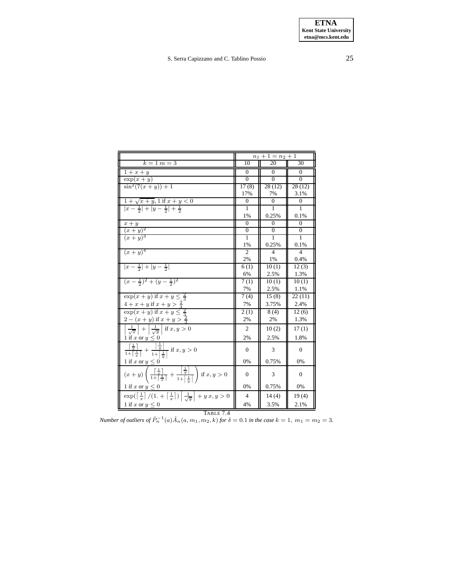|                                                                                                                                                                                               |                | $n_1 + 1 = n_2 + 1$ |                |  |  |  |  |  |
|-----------------------------------------------------------------------------------------------------------------------------------------------------------------------------------------------|----------------|---------------------|----------------|--|--|--|--|--|
| $k = 1$ $m = 3$                                                                                                                                                                               | 10             | 20                  | 30             |  |  |  |  |  |
| $1+x+y$                                                                                                                                                                                       | $\Omega$       | $\Omega$            | $\Omega$       |  |  |  |  |  |
| $\exp(x+y)$                                                                                                                                                                                   | $\Omega$       | $\Omega$            | $\Omega$       |  |  |  |  |  |
| $\sin^2(7(x+y)) + 1$                                                                                                                                                                          | 17(8)          | 28(12)              | 28(12)         |  |  |  |  |  |
|                                                                                                                                                                                               | 17%            | 7%                  | 3.1%           |  |  |  |  |  |
| $\sqrt{1 + \sqrt{x + y}}$ , 1 if $x + y < 0$                                                                                                                                                  | $\mathbf{0}$   | $\Omega$            | $\overline{0}$ |  |  |  |  |  |
| $ x-\frac{1}{2} + y-\frac{1}{2} +\frac{1}{2}$                                                                                                                                                 | 1              | $\mathbf{1}$        | 1              |  |  |  |  |  |
|                                                                                                                                                                                               | 1%             | 0.25%               | 0.1%           |  |  |  |  |  |
| $\frac{x+y}{(x+y)^2}$<br>$\frac{(x+y)^3}{(x+y)^3}$                                                                                                                                            | $\Omega$       | $\Omega$            | $\Omega$       |  |  |  |  |  |
|                                                                                                                                                                                               | $\mathbf{0}$   | $\theta$            | $\mathbf{0}$   |  |  |  |  |  |
|                                                                                                                                                                                               | $\mathbf{1}$   | 1                   | $\mathbf{1}$   |  |  |  |  |  |
|                                                                                                                                                                                               | 1%             | 0.25%               | 0.1%           |  |  |  |  |  |
| $(x+y)^4$                                                                                                                                                                                     | 2              | 4                   | $\overline{4}$ |  |  |  |  |  |
|                                                                                                                                                                                               | 2%             | 1%                  | 0.4%           |  |  |  |  |  |
| $ x-\frac{1}{2} + y-\frac{1}{2} $                                                                                                                                                             | 6(1)           | 10(1)               | 12(3)          |  |  |  |  |  |
|                                                                                                                                                                                               | 6%             | 2.5%                | 1.3%           |  |  |  |  |  |
| $(x-\frac{1}{2})^2+(y-\frac{1}{2})^2$                                                                                                                                                         | 7(1)           | 10(1)               | 10(1)          |  |  |  |  |  |
|                                                                                                                                                                                               | 7%             | 2.5%                | 1.1%           |  |  |  |  |  |
| $\exp(x+y)$ if $x+y \leq \frac{2}{3}$                                                                                                                                                         | 7(4)           | 15(8)               | 22(11)         |  |  |  |  |  |
| $4+x+y$ if $x+y>\frac{2}{3}$                                                                                                                                                                  | 7%             | 3.75%               | 2.4%           |  |  |  |  |  |
| $\exp(x+y)$ if $x+y \leq \frac{2}{3}$                                                                                                                                                         | 2(1)           | 8(4)                | 12(6)          |  |  |  |  |  |
| $2 - (x + y)$ if $x + y > \frac{2}{3}$                                                                                                                                                        | 2%             | 2%                  | 1.3%           |  |  |  |  |  |
| $\frac{1}{\sqrt{x}}$ + $\frac{1}{\sqrt{y}}$ if $x, y > 0$                                                                                                                                     | 2              | 10(2)               | 17(1)          |  |  |  |  |  |
| 1 if x or $y \le 0$                                                                                                                                                                           | 2%             | 2.5%                | 1.8%           |  |  |  |  |  |
| $\frac{\left\lceil \frac{1}{x} \right\rceil}{1 + \left\lceil \frac{1}{x} \right\rceil} + \frac{\left\lceil \frac{1}{y} \right\rceil}{1 + \left\lceil \frac{1}{y} \right\rceil}$ if $x, y > 0$ | $\Omega$       | 3                   | $\mathbf{0}$   |  |  |  |  |  |
| 1 if x or $y \leq 0$                                                                                                                                                                          | 0%             | 0.75%               | 0%             |  |  |  |  |  |
| $(x + y) \left( \frac{\frac{1}{x}}{1 + \left\lceil \frac{1}{x} \right\rceil} + \frac{\left\lceil \frac{1}{y} \right\rceil}{1 + \left\lceil \frac{1}{x} \right\rceil} \right)$ if $x, y > 0$   | $\Omega$       | 3                   | $\mathbf{0}$   |  |  |  |  |  |
| 1 if x or $y \leq 0$                                                                                                                                                                          | 0%             | 0.75%               | 0%             |  |  |  |  |  |
| $\exp(\left\lceil \frac{1}{x}\right\rceil/(1.+\left\lceil \frac{1}{x}\right\rceil)\left\lfloor \frac{1}{\sqrt{y}}\right\rfloor + y x, y > 0$                                                  | $\overline{4}$ | 14(4)               | 19(4)          |  |  |  |  |  |
| 1 if x or $y \leq 0$                                                                                                                                                                          | 4%             | 3.5%                | 2.1%           |  |  |  |  |  |

<span id="page-24-0"></span>**TABLE 7.4**<br>*Number of outliers of*  $\hat{P}_n^{-1}(a)\hat{A}_n(a, m_1, m_2, k)$  *for*  $\delta = 0.1$  *in the case*  $k = 1$ ,  $m_1 = m_2 = 3$ .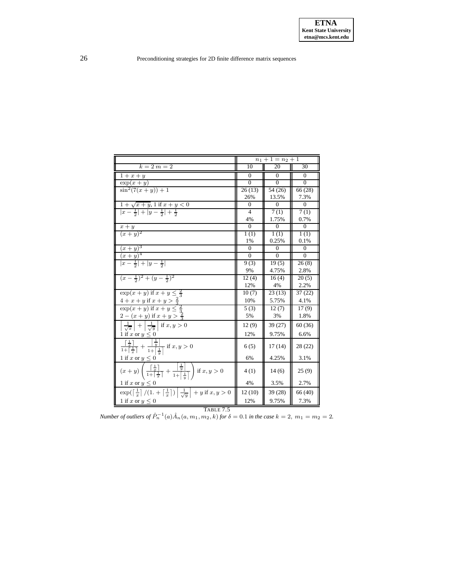|                                                                                                                                                                                                |                | $n_1 + 1 = n_2 + 1$ |              |
|------------------------------------------------------------------------------------------------------------------------------------------------------------------------------------------------|----------------|---------------------|--------------|
| $k=2$ $m=2$                                                                                                                                                                                    | 10             | 20                  | 30           |
| $1+x+y$                                                                                                                                                                                        | $\Omega$       | $\Omega$            | 0            |
| $\overline{\exp(x+y)}$                                                                                                                                                                         | $\theta$       | $\Omega$            | $\theta$     |
| $\sin^2(7(x+y)) + 1$                                                                                                                                                                           | 26(13)         | 54 (26)             | 66 (28)      |
|                                                                                                                                                                                                | 26%            | 13.5%               | 7.3%         |
| $\frac{1+\sqrt{x+y}}{ x-\frac{1}{2} + y-\frac{1}{2} +\frac{1}{2}}$                                                                                                                             | $\Omega$       | $\Omega$            | $\Omega$     |
|                                                                                                                                                                                                | $\overline{4}$ | 7(1)                | 7(1)         |
|                                                                                                                                                                                                | 4%             | 1.75%               | 0.7%         |
| $\frac{x+y}{(x+y)^2}$                                                                                                                                                                          | $\Omega$       | $\Omega$            | $\Omega$     |
|                                                                                                                                                                                                | 1(1)           | 1(1)                | 1(1)         |
|                                                                                                                                                                                                | 1%             | 0.25%               | 0.1%         |
| $(x+y)^3$                                                                                                                                                                                      | $\Omega$       | $\Omega$            | $\mathbf{0}$ |
| $(x+y)^4$                                                                                                                                                                                      | $\Omega$       | $\Omega$            | $\Omega$     |
| $ x-\frac{1}{2} + y-\frac{1}{2} $                                                                                                                                                              | 9(3)           | 19(5)               | 26(8)        |
|                                                                                                                                                                                                | 9%             | 4.75%               | 2.8%         |
| $\frac{(x-\frac{1}{2})^2+(y-\frac{1}{2})^2}{}$                                                                                                                                                 | 12(4)          | 16(4)               | 20(5)        |
|                                                                                                                                                                                                | 12%            | 4%                  | 2.2%         |
| $\overline{\exp(x+y)}$ if $x+y \leq \frac{2}{3}$                                                                                                                                               | 10(7)          | 23(13)              | 37(22)       |
| $4+x+y$ if $x+y>\frac{2}{3}$                                                                                                                                                                   | 10%            | 5.75%               | 4.1%         |
| $\exp(x+y)$ if $x+y\leq \frac{2}{3}$                                                                                                                                                           | 5(3)           | 12(7)               | 17(9)        |
| $2 - (x + y)$ if $x + y > \frac{2}{3}$                                                                                                                                                         | 5%             | 3%                  | 1.8%         |
| $\frac{1}{\sqrt{x}}$ + $\frac{1}{\sqrt{y}}$ if $x, y > 0$                                                                                                                                      | 12(9)          | 39 (27)             | 60 (36)      |
| 1 if x or $y \leq 0$                                                                                                                                                                           | 12%            | 9.75%               | 6.6%         |
| $\frac{\left\lceil \frac{1}{x} \right\rceil}{1 + \left\lceil \frac{1}{x} \right\rceil} + \frac{\left\lceil \frac{1}{y} \right\rceil}{1 + \left\lceil \frac{1}{y} \right\rceil}$ if $x,y>0$     | 6(5)           | 17(14)              | 28(22)       |
| 1 if x or $y \leq 0$                                                                                                                                                                           | 6%             | 4.25%               | 3.1%         |
| $(x+y)\left(\frac{\left\lceil\frac{1}{x}\right\rceil}{1+\left\lceil\frac{1}{x}\right\rceil}+\frac{\left\lceil\frac{1}{y}\right\rceil}{1+\left\lceil\frac{1}{y}\right\rceil}\right)$ if $x,y>0$ | 4(1)           | 14(6)               | 25(9)        |
| 1 if x or $y \leq 0$                                                                                                                                                                           | 4%             | 3.5%                | 2.7%         |
| $\exp\left(\left[\frac{1}{x}\right]/(1+\left[\frac{1}{x}\right])\right \frac{1}{\sqrt{y}}+y$ if $x, y>0$                                                                                       | 12(10)         | 39 (28)             | 66 (40)      |
| 1 if x or $y \leq 0$                                                                                                                                                                           | 12%            | 9.75%               | 7.3%         |

<span id="page-25-0"></span>**TABLE 7.5**<br>*Number of outliers of*  $\hat{P}_n^{-1}(a)\hat{A}_n(a, m_1, m_2, k)$  *for*  $\delta = 0.1$  *in the case*  $k = 2$ ,  $m_1 = m_2 = 2$ .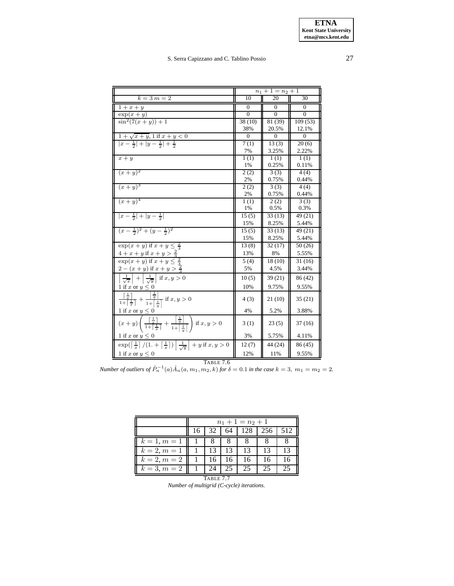|                                                                                                                                                                                               |                    | $n_1 + 1 = n_2 + 1$ |          |
|-----------------------------------------------------------------------------------------------------------------------------------------------------------------------------------------------|--------------------|---------------------|----------|
| $k = 3 m = 2$                                                                                                                                                                                 | 10                 | 20                  | 30       |
| $\overline{1}+x+y$                                                                                                                                                                            | $\Omega$           | 0                   | $\Omega$ |
| $\overline{\exp(x+y)}$                                                                                                                                                                        | $\Omega$           | $\Omega$            | $\Omega$ |
| $\sin^2(7(x+y))+1$                                                                                                                                                                            | 38(10)             | 81 (39)             | 109(53)  |
|                                                                                                                                                                                               | 38%                | 20.5%               | 12.1%    |
| $1 + \sqrt{x + y}$ , 1 if $x + y < 0$                                                                                                                                                         | $\Omega$           | $\Omega$            | $\Omega$ |
| $ x-\frac{1}{2} + y-\frac{1}{2} +\frac{1}{2}$                                                                                                                                                 | 7(1)               | 13(3)               | 20(6)    |
|                                                                                                                                                                                               | 7%                 | 3.25%               | 2.22%    |
| $x + y$                                                                                                                                                                                       | 1(1)               | 1(1)                | 1(1)     |
|                                                                                                                                                                                               | 1%                 | 0.25%               | 0.11%    |
| $(x+y)^2$                                                                                                                                                                                     | $\overline{2}$ (2) | 3(3)                | 4(4)     |
|                                                                                                                                                                                               | 2%                 | 0.75%               | 0.44%    |
| $(x+y)^3$                                                                                                                                                                                     | 2(2)               | 3(3)                | 4(4)     |
|                                                                                                                                                                                               | 2%                 | 0.75%               | 0.44%    |
| $(x+y)^4$                                                                                                                                                                                     | 1(1)               | 2(2)                | 3(3)     |
|                                                                                                                                                                                               | 1%                 | 0.5%                | 0.3%     |
| $ x-\frac{1}{2} + y-\frac{1}{2} $                                                                                                                                                             | 15(5)              | 33(13)              | 49 (21)  |
|                                                                                                                                                                                               | 15%                | 8.25%               | 5.44%    |
| $(x-\frac{1}{2})^2+(y-\frac{1}{2})^2$                                                                                                                                                         | 15(5)              | 33(13)              | 49 (21)  |
|                                                                                                                                                                                               | 15%                | 8.25%               | 5.44%    |
| $\exp(x+y)$ if $x+y \leq \frac{2}{3}$                                                                                                                                                         | 13(8)              | 32(17)              | 50(26)   |
| $4+x+y$ if $x+y>\frac{2}{3}$                                                                                                                                                                  | 13%                | 8%                  | 5.55%    |
| $\exp(x+y)$ if $x+y \leq$                                                                                                                                                                     | 5(4)               | 18(10)              | 31(16)   |
| $2 - (x + y)$ if $x + y > \frac{2}{3}$                                                                                                                                                        | 5%                 | 4.5%                | 3.44%    |
| $\frac{1}{\sqrt{x}}$ + $\frac{1}{\sqrt{y}}$ if $x, y > 0$                                                                                                                                     | 10(5)              | 39 (21)             | 86 (42)  |
| 1 if x or $y \leq 0$                                                                                                                                                                          | 10%                | 9.75%               | 9.55%    |
| $\frac{\left\lceil \frac{1}{x} \right\rceil}{1 + \left\lceil \frac{1}{x} \right\rceil} + \frac{\left\lceil \frac{1}{y} \right\rceil}{1 + \left\lceil \frac{1}{y} \right\rceil}$ if $x, y > 0$ | 4(3)               | 21 (10)             | 35(21)   |
| 1 if x or $y \leq 0$                                                                                                                                                                          | 4%                 | 5.2%                | 3.88%    |
| $(x + y) \left( \frac{\frac{1}{x}}{1 + \left[\frac{1}{x}\right]} + \frac{\frac{1}{y}}{1 + \left[\frac{1}{y}\right]} \right)$ if $x, y > 0$                                                    | 3(1)               | 23(5)               | 37(16)   |
| 1 if x or $y \leq 0$                                                                                                                                                                          | 3%                 | 5.75%               | 4.11%    |
| $\exp(\left\lceil \frac{1}{x}\right\rceil/(1.+\left\lceil \frac{1}{x}\right\rceil)\left\lfloor \frac{1}{\sqrt{y}}\right\rfloor + y$ if $x,y>0$                                                | 12(7)              | 44 (24)             | 86 (45)  |
| 1 if x or $y \leq 0$                                                                                                                                                                          | 12%                | 11%                 | 9.55%    |

<span id="page-26-0"></span>*Number of outliers of*  $\hat{P}_n^{-1}(a)\hat{A}_n(a, m_1, m_2, k)$  *for*  $\delta = 0.1$  *in the case*  $k = 3$ ,  $m_1 = m_2 = 2$ .

|                | $n_1+1=n_2+1$ |                        |    |    |    |    |  |  |  |  |  |
|----------------|---------------|------------------------|----|----|----|----|--|--|--|--|--|
|                | 16            | 128<br>256<br>64<br>32 |    |    |    |    |  |  |  |  |  |
| $k = 1, m = 1$ |               |                        |    |    |    |    |  |  |  |  |  |
| $k = 2, m = 1$ |               | 13                     | 13 | 13 | 13 | 13 |  |  |  |  |  |
| $k = 2, m = 2$ |               | 16                     | 16 | 16 | 16 | 16 |  |  |  |  |  |
| $k = 3, m = 2$ |               | 24                     | 25 | 25 | 25 | 25 |  |  |  |  |  |

<span id="page-26-1"></span>TABLE 7.7 *Number of multigrid (C-cycle) iterations.*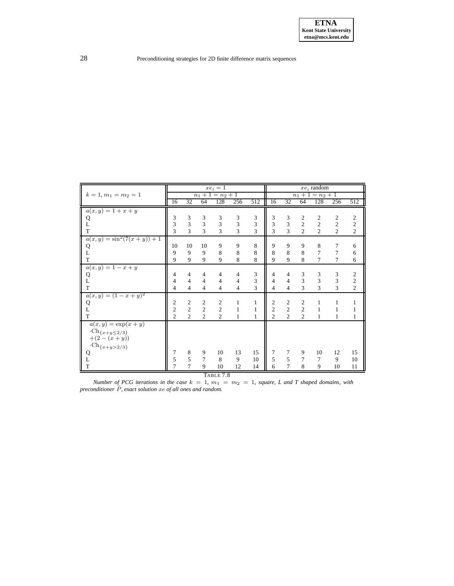|                                                  |                |                             |                | $xe_i = 1$          |                |                |                         |                |                         | $xe_i$ random       |                |                  |
|--------------------------------------------------|----------------|-----------------------------|----------------|---------------------|----------------|----------------|-------------------------|----------------|-------------------------|---------------------|----------------|------------------|
| $k = 1, m_1 = m_2 = 1$                           |                |                             |                | $n_1 + 1 = n_2 + 1$ |                |                |                         |                |                         | $n_1 + 1 = n_2 + 1$ |                |                  |
|                                                  | 16             | 32                          | 64             | 128                 | 256            | 512            | 16                      | 32             | 64                      | 128                 | 256            | 512              |
| $a(x, y) = 1 + x + y$                            |                |                             |                |                     |                |                |                         |                |                         |                     |                |                  |
| Q                                                | 3              | 3                           | 3              | 3                   | 3              | $\mathfrak{Z}$ | 3                       | $\mathfrak{Z}$ | $\overline{c}$          | $\overline{2}$      | $\overline{c}$ | $\overline{c}$   |
| L                                                | $\mathfrak{Z}$ | $\ensuremath{\mathfrak{Z}}$ | 3              | 3                   | $\overline{3}$ | 3              | $\overline{\mathbf{3}}$ | $\overline{3}$ | $\overline{c}$          | $\overline{c}$      | $\overline{c}$ | $\sqrt{2}$       |
| $\mathbf T$                                      | $\overline{3}$ | $\overline{3}$              | $\overline{3}$ | 3                   | 3              | 3              | $\overline{3}$          | $\overline{3}$ | $\overline{2}$          | $\overline{2}$      | $\overline{c}$ | $\overline{2}$   |
| $a(x, y) = \sin^2(7(x+y)) + 1$                   |                |                             |                |                     |                |                |                         |                |                         |                     |                |                  |
| Q                                                | 10             | 10                          | 10             | 9                   | 9              | $\,$ 8 $\,$    | 9                       | 9              | 9                       | 8                   | 7              | 6                |
| L                                                | 9              | 9                           | 9              | 8                   | 8              | 8              | 8                       | 8              | 8                       | 7                   | $\overline{7}$ | 6                |
| $\mathbf T$                                      | 9              | 9                           | 9              | 9                   | 8              | 8              | 9                       | 9              | 8                       | 7                   | $\tau$         | 6                |
| $a(x, y) = 1 - x + y$                            |                |                             |                |                     |                |                |                         |                |                         |                     |                |                  |
| Q                                                | $\overline{4}$ | $\overline{4}$              | $\overline{4}$ | $\overline{4}$      | $\overline{4}$ | 3              | 4                       | $\overline{4}$ | $\mathfrak{Z}$          | 3                   | 3              | $\boldsymbol{2}$ |
| $\mathbf L$                                      | $\overline{4}$ | $\overline{4}$              | $\overline{4}$ | $\overline{4}$      | $\overline{4}$ | $\overline{3}$ | $\overline{4}$          | $\overline{4}$ | $\overline{\mathbf{3}}$ | 3                   | 3              | $\overline{c}$   |
| T                                                | $\overline{4}$ | $\overline{4}$              | 4              | $\overline{4}$      | $\overline{4}$ | 3              | $\overline{4}$          | $\overline{4}$ | 3                       | 3                   | 3              | $\overline{c}$   |
| $a(x, y) = (1 - x + y)^2$                        |                |                             |                |                     |                |                |                         |                |                         |                     |                |                  |
| Q                                                | $\mathfrak{2}$ | $\mathfrak{2}$              | $\overline{2}$ | 2                   | $\mathbf{1}$   | $\mathbf{1}$   | $\frac{2}{2}$           | $\sqrt{2}$     | $\overline{2}$          | $\mathbf{1}$        | $\mathbf{1}$   | $\mathbf{1}$     |
| L                                                | $\overline{c}$ | $\sqrt{2}$                  | $\overline{2}$ | $\overline{c}$      | $\mathbf{1}$   | $\mathbf{1}$   |                         | $\overline{c}$ | $\overline{2}$          | $\mathbf{1}$        | 1              | $\mathbf{1}$     |
| T                                                | $\overline{2}$ | $\overline{2}$              | $\overline{c}$ | $\overline{2}$      | $\mathbf{1}$   | $\mathbf{1}$   | $\overline{2}$          | $\overline{2}$ | $\overline{c}$          | 1                   | 1              | $\mathbf{1}$     |
| $a(x, y) = \exp(x + y)$                          |                |                             |                |                     |                |                |                         |                |                         |                     |                |                  |
| $\cdot$ Ch <sub>{x+y</sub> ≤2/3}<br>$+(2-(x+y))$ |                |                             |                |                     |                |                |                         |                |                         |                     |                |                  |
| $\cdot \operatorname{Ch}_{\{x+y>2/3\}}$          |                |                             |                |                     |                |                |                         |                |                         |                     |                |                  |
|                                                  | 7              | $\,$ 8 $\,$                 | 9              | 10                  | 13             | 15             | 7                       | 7              | 9                       | 10                  | 12             | 15               |
| $_\mathrm{L}^\mathrm{Q}$                         | 5              | 5                           | 7              | 8                   | 9              | 10             | 5                       | 5              | 7                       | 7                   | 9              | 10               |
| $\mathbf T$                                      | 7              | 7                           | 9              | 10                  | 12             | 14             | 6                       | $\overline{7}$ | 8                       | 9                   | 10             | 11               |

TABLE 7.8

<span id="page-27-0"></span>*Number of* PCG *iterations in the case*  $k = 1$ ,  $m_1 = m_2 = 1$ , *square, L and T shaped domains, with*  $\hat{P}$ *, exact solution*  $\hat{x}e$  *of all ones and random.*